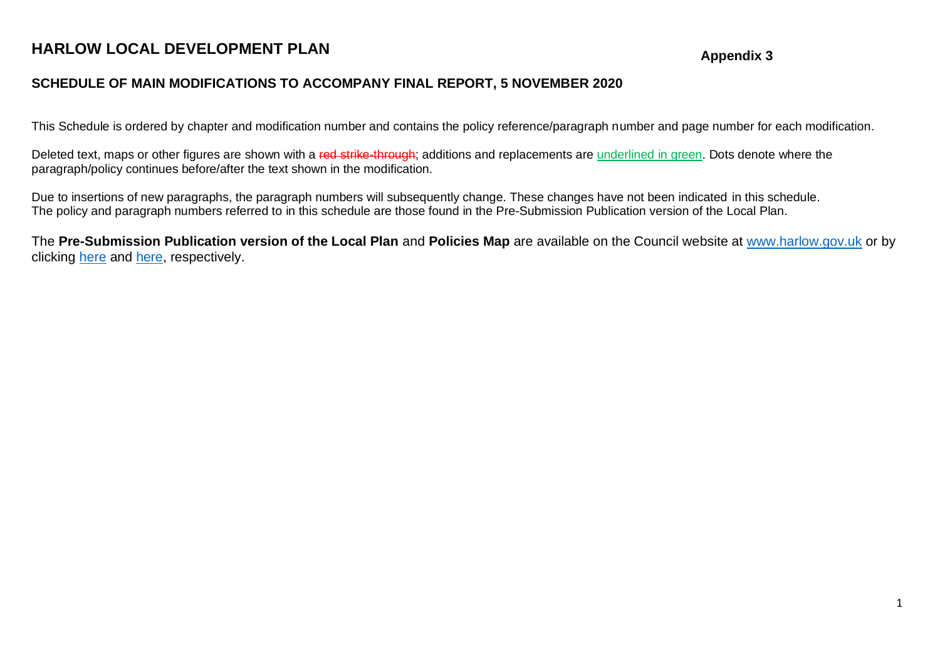# **HARLOW LOCAL DEVELOPMENT PLAN**

#### **Appendix 3**

### **SCHEDULE OF MAIN MODIFICATIONS TO ACCOMPANY FINAL REPORT, 5 NOVEMBER 2020**

This Schedule is ordered by chapter and modification number and contains the policy reference/paragraph number and page number for each modification.

Deleted text, maps or other figures are shown with a red strike-through; additions and replacements are underlined in green. Dots denote where the paragraph/policy continues before/after the text shown in the modification.

Due to insertions of new paragraphs, the paragraph numbers will subsequently change. These changes have not been indicated in this schedule. The policy and paragraph numbers referred to in this schedule are those found in the Pre-Submission Publication version of the Local Plan.

The **Pre-Submission Publication version of the Local Plan** and **Policies Map** are available on the Council website at [www.harlow.gov.uk](http://www.harlow.gov.uk/) or by clicking [here](https://www.harlow.gov.uk/sites/default/files/documents/Pre-Submission%20Publication%20-%20document.pdf) and [here,](https://www.harlow.gov.uk/sites/default/files/documents/Pre-Submission%20Publication%20-%20policies%20map.pdf) respectively.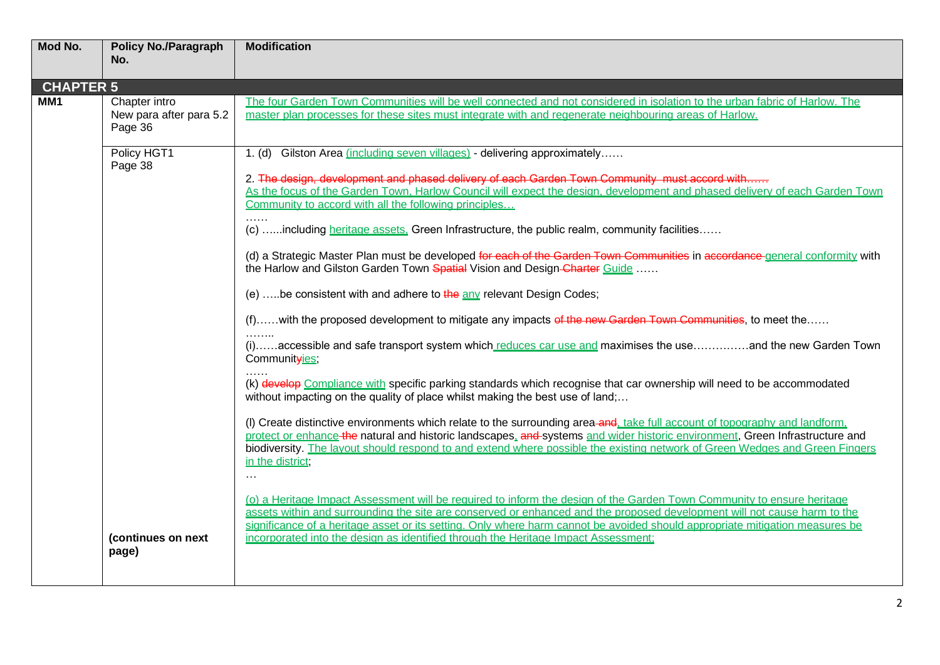| Mod No.          | <b>Policy No./Paragraph</b><br>No.                  | <b>Modification</b>                                                                                                                                                                                                                                                                                                                                                                                                                                                      |
|------------------|-----------------------------------------------------|--------------------------------------------------------------------------------------------------------------------------------------------------------------------------------------------------------------------------------------------------------------------------------------------------------------------------------------------------------------------------------------------------------------------------------------------------------------------------|
| <b>CHAPTER 5</b> |                                                     |                                                                                                                                                                                                                                                                                                                                                                                                                                                                          |
| MM <sub>1</sub>  | Chapter intro<br>New para after para 5.2<br>Page 36 | The four Garden Town Communities will be well connected and not considered in isolation to the urban fabric of Harlow. The<br>master plan processes for these sites must integrate with and regenerate neighbouring areas of Harlow.                                                                                                                                                                                                                                     |
|                  | Policy HGT1<br>Page 38                              | 1. (d) Gilston Area (including seven villages) - delivering approximately<br>2. The design, development and phased delivery of each Garden Town Community must accord with<br>As the focus of the Garden Town, Harlow Council will expect the design, development and phased delivery of each Garden Town                                                                                                                                                                |
|                  |                                                     | Community to accord with all the following principles                                                                                                                                                                                                                                                                                                                                                                                                                    |
|                  |                                                     | .<br>(c) including heritage assets. Green Infrastructure, the public realm, community facilities                                                                                                                                                                                                                                                                                                                                                                         |
|                  |                                                     | (d) a Strategic Master Plan must be developed for each of the Garden Town Communities in accordance-general conformity with<br>the Harlow and Gilston Garden Town Spatial Vision and Design-Charter Guide                                                                                                                                                                                                                                                                |
|                  |                                                     | (e) be consistent with and adhere to $\frac{1}{2}$ any relevant Design Codes;                                                                                                                                                                                                                                                                                                                                                                                            |
|                  |                                                     | (f)with the proposed development to mitigate any impacts of the new Garden Town Communities, to meet the                                                                                                                                                                                                                                                                                                                                                                 |
|                  |                                                     | (i)accessible and safe transport system which reduces car use and maximises the useand the new Garden Town<br>Communityies,                                                                                                                                                                                                                                                                                                                                              |
|                  |                                                     | (k) develop Compliance with specific parking standards which recognise that car ownership will need to be accommodated<br>without impacting on the quality of place whilst making the best use of land;                                                                                                                                                                                                                                                                  |
|                  |                                                     | (I) Create distinctive environments which relate to the surrounding area-and, take full account of topography and landform,<br>protect or enhance the natural and historic landscapes, and systems and wider historic environment, Green Infrastructure and<br>biodiversity. The layout should respond to and extend where possible the existing network of Green Wedges and Green Fingers<br>in the district;<br>$\cdots$                                               |
|                  | (continues on next<br>page)                         | (o) a Heritage Impact Assessment will be required to inform the design of the Garden Town Community to ensure heritage<br>assets within and surrounding the site are conserved or enhanced and the proposed development will not cause harm to the<br>significance of a heritage asset or its setting. Only where harm cannot be avoided should appropriate mitigation measures be<br>incorporated into the design as identified through the Heritage Impact Assessment; |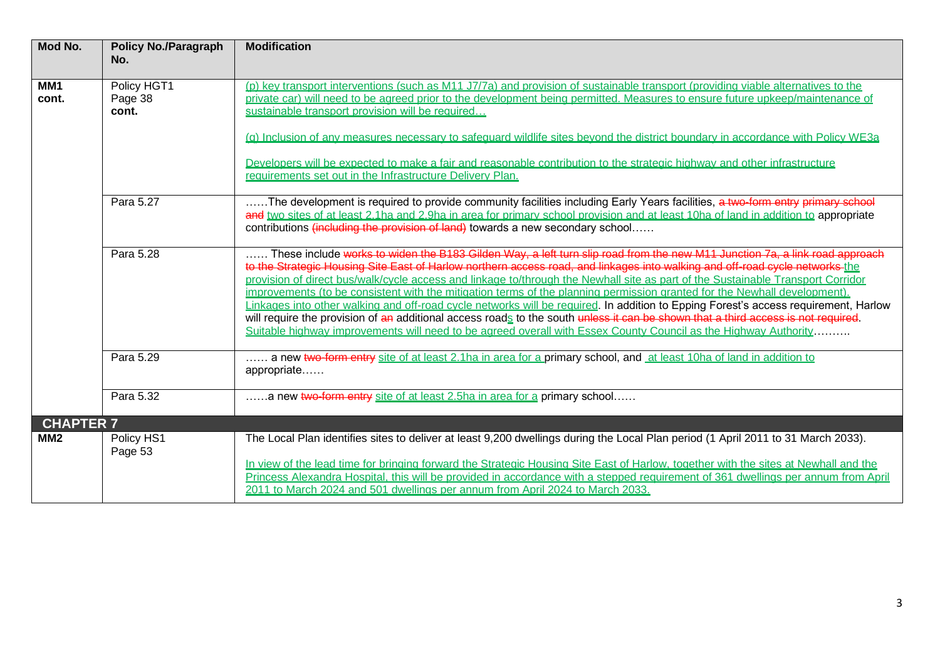| Mod No.          | <b>Policy No./Paragraph</b><br>No. | <b>Modification</b>                                                                                                                                                                                                                                                                                                                                                                                                                                                                                                                                                                                                                                                                                                                                                                                                                                                                                                       |
|------------------|------------------------------------|---------------------------------------------------------------------------------------------------------------------------------------------------------------------------------------------------------------------------------------------------------------------------------------------------------------------------------------------------------------------------------------------------------------------------------------------------------------------------------------------------------------------------------------------------------------------------------------------------------------------------------------------------------------------------------------------------------------------------------------------------------------------------------------------------------------------------------------------------------------------------------------------------------------------------|
| MM1<br>cont.     | Policy HGT1<br>Page 38<br>cont.    | (p) key transport interventions (such as M11 J7/7a) and provision of sustainable transport (providing viable alternatives to the<br>private car) will need to be agreed prior to the development being permitted. Measures to ensure future upkeep/maintenance of<br>sustainable transport provision will be required<br>(g) Inclusion of any measures necessary to safeguard wildlife sites beyond the district boundary in accordance with Policy WE3a<br>Developers will be expected to make a fair and reasonable contribution to the strategic highway and other infrastructure<br>requirements set out in the Infrastructure Delivery Plan.                                                                                                                                                                                                                                                                         |
|                  | Para 5.27                          | The development is required to provide community facilities including Early Years facilities, a two-form entry primary school<br>and two sites of at least 2.1ha and 2.9ha in area for primary school provision and at least 10ha of land in addition to appropriate<br>contributions (including the provision of land) towards a new secondary school                                                                                                                                                                                                                                                                                                                                                                                                                                                                                                                                                                    |
|                  | Para 5.28                          | These include works to widen the B183 Gilden Way, a left turn slip road from the new M11 Junction 7a, a link road approach<br>to the Strategic Housing Site East of Harlow northern access road, and linkages into walking and off-road cycle networks the<br>provision of direct bus/walk/cycle access and linkage to/through the Newhall site as part of the Sustainable Transport Corridor<br>improvements (to be consistent with the mitigation terms of the planning permission granted for the Newhall development).<br>Linkages into other walking and off-road cycle networks will be required. In addition to Epping Forest's access requirement, Harlow<br>will require the provision of an additional access roads to the south unless it can be shown that a third access is not required.<br>Suitable highway improvements will need to be agreed overall with Essex County Council as the Highway Authority |
|                  | Para 5.29                          | a new two-form entry site of at least 2.1ha in area for a primary school, and at least 10ha of land in addition to<br>appropriate                                                                                                                                                                                                                                                                                                                                                                                                                                                                                                                                                                                                                                                                                                                                                                                         |
|                  | Para 5.32                          | a new two-form entry site of at least 2.5ha in area for a primary school                                                                                                                                                                                                                                                                                                                                                                                                                                                                                                                                                                                                                                                                                                                                                                                                                                                  |
| <b>CHAPTER 7</b> |                                    |                                                                                                                                                                                                                                                                                                                                                                                                                                                                                                                                                                                                                                                                                                                                                                                                                                                                                                                           |
| MM <sub>2</sub>  | Policy HS1<br>Page 53              | The Local Plan identifies sites to deliver at least 9,200 dwellings during the Local Plan period (1 April 2011 to 31 March 2033).<br>In view of the lead time for bringing forward the Strategic Housing Site East of Harlow, together with the sites at Newhall and the<br>Princess Alexandra Hospital, this will be provided in accordance with a stepped requirement of 361 dwellings per annum from April<br>2011 to March 2024 and 501 dwellings per annum from April 2024 to March 2033.                                                                                                                                                                                                                                                                                                                                                                                                                            |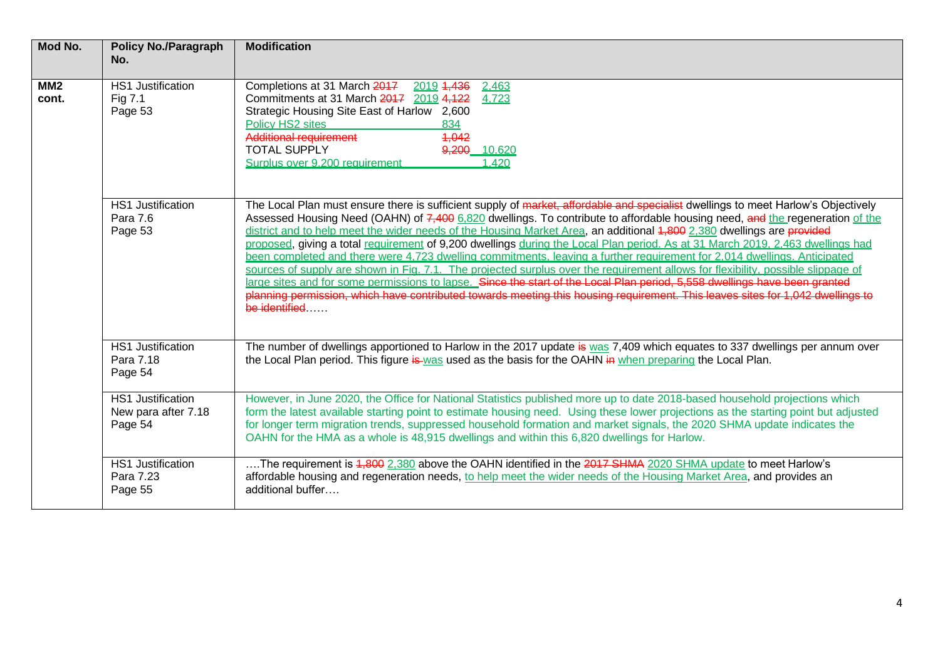| Mod No.      | <b>Policy No./Paragraph</b><br>No.                         | <b>Modification</b>                                                                                                                                                                                                                                                                                                                                                                                                                                                                                                                                                                                                                                                                                                                                                                                                                                                                                                                                                                                                                                                            |
|--------------|------------------------------------------------------------|--------------------------------------------------------------------------------------------------------------------------------------------------------------------------------------------------------------------------------------------------------------------------------------------------------------------------------------------------------------------------------------------------------------------------------------------------------------------------------------------------------------------------------------------------------------------------------------------------------------------------------------------------------------------------------------------------------------------------------------------------------------------------------------------------------------------------------------------------------------------------------------------------------------------------------------------------------------------------------------------------------------------------------------------------------------------------------|
| MM2<br>cont. | <b>HS1 Justification</b><br>Fig 7.1<br>Page 53             | Completions at 31 March 2017<br>2019 4,436<br>2.463<br>Commitments at 31 March 2017 2019 4,122<br>4.723<br>Strategic Housing Site East of Harlow 2,600<br>Policy HS2 sites<br>834<br><b>Additional requirement</b><br>4,042<br><b>TOTAL SUPPLY</b><br>9,200 10.620<br>Surplus over 9,200 requirement<br>1,420                                                                                                                                                                                                                                                                                                                                                                                                                                                                                                                                                                                                                                                                                                                                                                  |
|              | <b>HS1 Justification</b><br>Para 7.6<br>Page 53            | The Local Plan must ensure there is sufficient supply of market, affordable and specialist dwellings to meet Harlow's Objectively<br>Assessed Housing Need (OAHN) of 7,400 6,820 dwellings. To contribute to affordable housing need, and the regeneration of the<br>district and to help meet the wider needs of the Housing Market Area, an additional 4,800 2,380 dwellings are provided<br>proposed, giving a total requirement of 9,200 dwellings during the Local Plan period. As at 31 March 2019. 2.463 dwellings had<br>been completed and there were 4.723 dwelling commitments, leaving a further requirement for 2.014 dwellings, Anticipated<br>sources of supply are shown in Fig. 7.1. The projected surplus over the requirement allows for flexibility, possible slippage of<br>large sites and for some permissions to lapse. Since the start of the Local Plan period, 5,558 dwellings have been granted<br>planning permission, which have contributed towards meeting this housing requirement. This leaves sites for 1,042 dwellings to<br>be identified |
|              | <b>HS1 Justification</b><br>Para 7.18<br>Page 54           | The number of dwellings apportioned to Harlow in the 2017 update is was 7,409 which equates to 337 dwellings per annum over<br>the Local Plan period. This figure is was used as the basis for the OAHN in when preparing the Local Plan.                                                                                                                                                                                                                                                                                                                                                                                                                                                                                                                                                                                                                                                                                                                                                                                                                                      |
|              | <b>HS1 Justification</b><br>New para after 7.18<br>Page 54 | However, in June 2020, the Office for National Statistics published more up to date 2018-based household projections which<br>form the latest available starting point to estimate housing need. Using these lower projections as the starting point but adjusted<br>for longer term migration trends, suppressed household formation and market signals, the 2020 SHMA update indicates the<br>OAHN for the HMA as a whole is 48,915 dwellings and within this 6,820 dwellings for Harlow.                                                                                                                                                                                                                                                                                                                                                                                                                                                                                                                                                                                    |
|              | <b>HS1 Justification</b><br>Para 7.23<br>Page 55           | The requirement is 4,800 2,380 above the OAHN identified in the 2017 SHMA 2020 SHMA update to meet Harlow's<br>affordable housing and regeneration needs, to help meet the wider needs of the Housing Market Area, and provides an<br>additional buffer                                                                                                                                                                                                                                                                                                                                                                                                                                                                                                                                                                                                                                                                                                                                                                                                                        |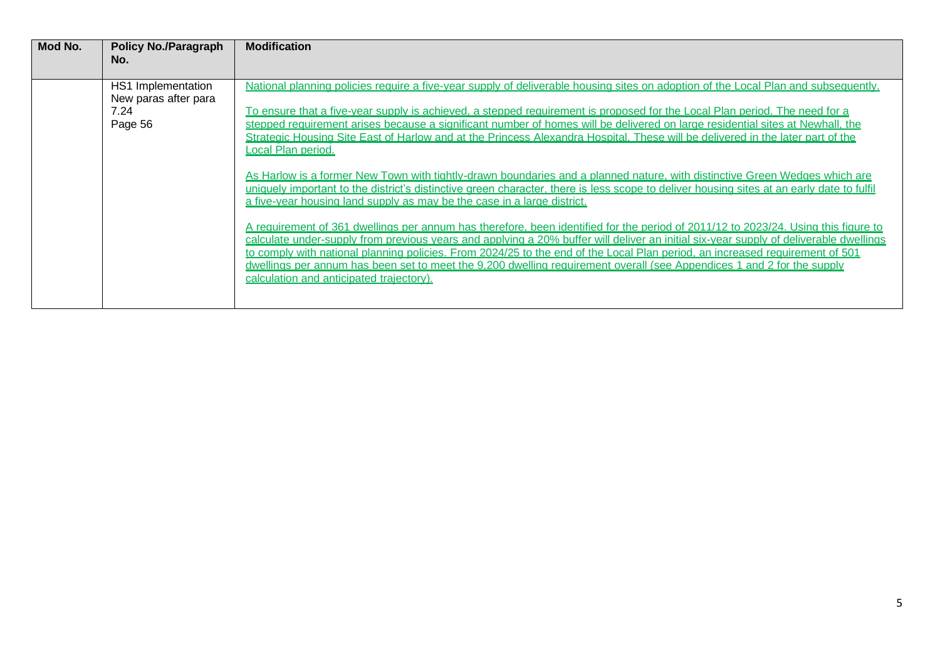| Mod No. | <b>Policy No./Paragraph</b><br>No.         | <b>Modification</b>                                                                                                                                                                                                                                                                                                                                                                                                                                                                                                                                                               |
|---------|--------------------------------------------|-----------------------------------------------------------------------------------------------------------------------------------------------------------------------------------------------------------------------------------------------------------------------------------------------------------------------------------------------------------------------------------------------------------------------------------------------------------------------------------------------------------------------------------------------------------------------------------|
|         | HS1 Implementation<br>New paras after para | National planning policies require a five-year supply of deliverable housing sites on adoption of the Local Plan and subsequently.                                                                                                                                                                                                                                                                                                                                                                                                                                                |
|         | 7.24<br>Page 56                            | To ensure that a five-year supply is achieved, a stepped requirement is proposed for the Local Plan period. The need for a<br>stepped requirement arises because a significant number of homes will be delivered on large residential sites at Newhall, the<br>Strategic Housing Site East of Harlow and at the Princess Alexandra Hospital. These will be delivered in the later part of the<br>ocal Plan period.                                                                                                                                                                |
|         |                                            | As Harlow is a former New Town with tightly-drawn boundaries and a planned nature, with distinctive Green Wedges which are<br>uniquely important to the district's distinctive green character, there is less scope to deliver housing sites at an early date to fulfil<br>a five-vear housing land supply as may be the case in a large district.                                                                                                                                                                                                                                |
|         |                                            | A requirement of 361 dwellings per annum has therefore, been identified for the period of 2011/12 to 2023/24. Using this figure to<br>calculate under-supply from previous years and applying a 20% buffer will deliver an initial six-year supply of deliverable dwellings<br>to comply with national planning policies. From 2024/25 to the end of the Local Plan period, an increased requirement of 501<br>dwellings per annum has been set to meet the 9.200 dwelling requirement overall (see Appendices 1 and 2 for the supply<br>calculation and anticipated traiectory). |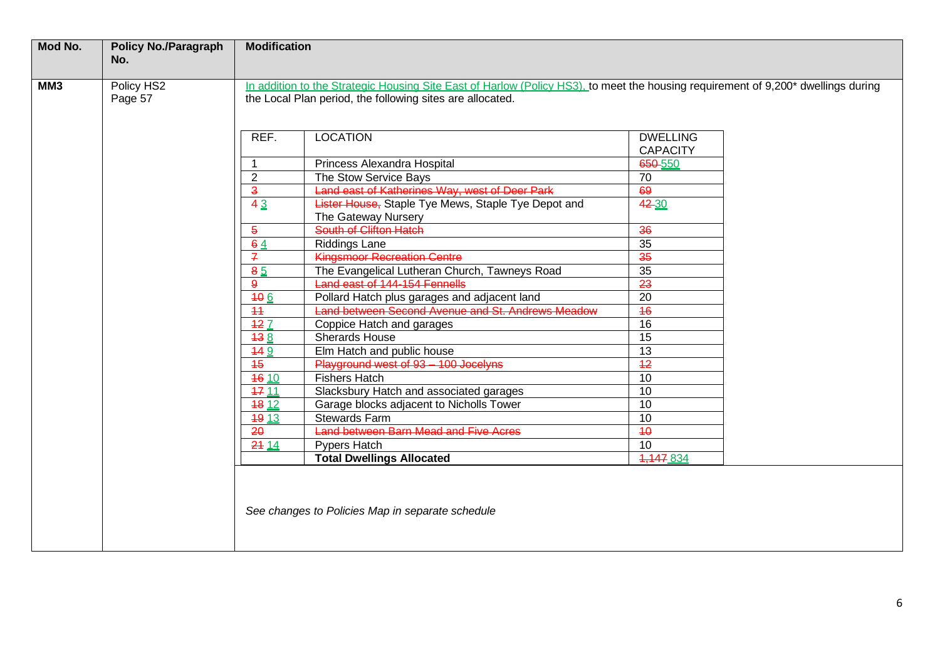| Mod No. | <b>Policy No./Paragraph</b> | <b>Modification</b> |                                                                                                                                                                                                |                 |
|---------|-----------------------------|---------------------|------------------------------------------------------------------------------------------------------------------------------------------------------------------------------------------------|-----------------|
|         | No.                         |                     |                                                                                                                                                                                                |                 |
| MM3     |                             |                     |                                                                                                                                                                                                |                 |
|         | Policy HS2<br>Page 57       |                     | In addition to the Strategic Housing Site East of Harlow (Policy HS3), to meet the housing requirement of 9,200* dwellings during<br>the Local Plan period, the following sites are allocated. |                 |
|         |                             |                     |                                                                                                                                                                                                |                 |
|         |                             |                     |                                                                                                                                                                                                |                 |
|         |                             | REF.                | <b>LOCATION</b>                                                                                                                                                                                | <b>DWELLING</b> |
|         |                             |                     |                                                                                                                                                                                                | <b>CAPACITY</b> |
|         |                             | $\mathbf{1}$        | Princess Alexandra Hospital                                                                                                                                                                    | 650-550         |
|         |                             | $\overline{2}$      | The Stow Service Bays                                                                                                                                                                          | 70              |
|         |                             | $\overline{3}$      | Land east of Katherines Way, west of Deer Park                                                                                                                                                 | 69              |
|         |                             | 43                  | Lister House, Staple Tye Mews, Staple Tye Depot and                                                                                                                                            | 42 30           |
|         |                             |                     | The Gateway Nursery                                                                                                                                                                            |                 |
|         |                             | $\overline{5}$      | South of Clifton Hatch                                                                                                                                                                         | $\overline{36}$ |
|         |                             | 64                  | <b>Riddings Lane</b>                                                                                                                                                                           | $\overline{35}$ |
|         |                             | $\mathbf{z}$        | <b>Kingsmoor Recreation Centre</b>                                                                                                                                                             | 35              |
|         |                             | 85                  | The Evangelical Lutheran Church, Tawneys Road                                                                                                                                                  | $\overline{35}$ |
|         |                             | $\mathbf{9}$        | Land east of 144-154 Fennells                                                                                                                                                                  | $\overline{23}$ |
|         |                             | 40 <sub>6</sub>     | Pollard Hatch plus garages and adjacent land                                                                                                                                                   | $\overline{20}$ |
|         |                             | 44                  | Land between Second Avenue and St. Andrews Meadow                                                                                                                                              | $\overline{46}$ |
|         |                             | 427                 | Coppice Hatch and garages                                                                                                                                                                      | 16              |
|         |                             | <del>13</del> 8     | <b>Sherards House</b>                                                                                                                                                                          | $\overline{15}$ |
|         |                             | 449                 | Elm Hatch and public house                                                                                                                                                                     | 13              |
|         |                             | $\overline{45}$     | Playground west of 93 - 100 Jocelyns                                                                                                                                                           | $\overline{12}$ |
|         |                             | <b>46 10</b>        | <b>Fishers Hatch</b>                                                                                                                                                                           | 10              |
|         |                             | <b>47 11</b>        | Slacksbury Hatch and associated garages                                                                                                                                                        | $\overline{10}$ |
|         |                             | 18 12               | Garage blocks adjacent to Nicholls Tower                                                                                                                                                       | 10              |
|         |                             | <b>49 13</b>        | <b>Stewards Farm</b>                                                                                                                                                                           | 10              |
|         |                             | 20                  | <b>Land between Barn Mead and Five Acres</b>                                                                                                                                                   | $\overline{40}$ |
|         |                             | 2414                | Pypers Hatch                                                                                                                                                                                   | 10              |
|         |                             |                     | <b>Total Dwellings Allocated</b>                                                                                                                                                               | 4,447 834       |
|         |                             |                     |                                                                                                                                                                                                |                 |
|         |                             |                     |                                                                                                                                                                                                |                 |
|         |                             |                     |                                                                                                                                                                                                |                 |
|         |                             |                     | See changes to Policies Map in separate schedule                                                                                                                                               |                 |
|         |                             |                     |                                                                                                                                                                                                |                 |
|         |                             |                     |                                                                                                                                                                                                |                 |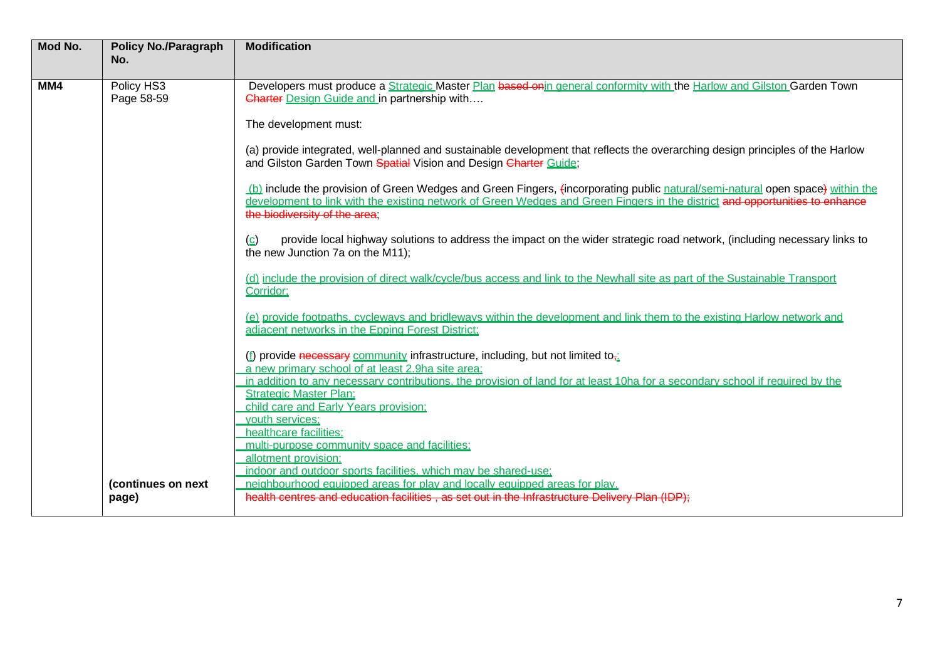| Mod No. | <b>Policy No./Paragraph</b> | <b>Modification</b>                                                                                                                                                                                                                                                                             |
|---------|-----------------------------|-------------------------------------------------------------------------------------------------------------------------------------------------------------------------------------------------------------------------------------------------------------------------------------------------|
|         | No.                         |                                                                                                                                                                                                                                                                                                 |
| MM4     | Policy HS3<br>Page 58-59    | Developers must produce a Strategic Master Plan based onin general conformity with the Harlow and Gilston Garden Town<br><b>Charter Design Guide and in partnership with</b>                                                                                                                    |
|         |                             | The development must:                                                                                                                                                                                                                                                                           |
|         |                             | (a) provide integrated, well-planned and sustainable development that reflects the overarching design principles of the Harlow<br>and Gilston Garden Town Spatial Vision and Design Charter Guide;                                                                                              |
|         |                             | (b) include the provision of Green Wedges and Green Fingers, (incorporating public natural/semi-natural open space) within the<br>development to link with the existing network of Green Wedges and Green Fingers in the district and opportunities to enhance<br>the biodiversity of the area: |
|         |                             | provide local highway solutions to address the impact on the wider strategic road network, (including necessary links to<br>(c)<br>the new Junction 7a on the M11);                                                                                                                             |
|         |                             | (d) include the provision of direct walk/cvcle/bus access and link to the Newhall site as part of the Sustainable Transport<br>Corridor:                                                                                                                                                        |
|         |                             | (e) provide footpaths, cycleways and bridleways within the development and link them to the existing Harlow network and<br>adiacent networks in the Epping Forest District:                                                                                                                     |
|         |                             | (f) provide necessary community infrastructure, including, but not limited to <sub><math>\overline{12}</math></sub><br>a new primary school of at least 2.9ha site area:                                                                                                                        |
|         |                             | in addition to any necessary contributions, the provision of land for at least 10ha for a secondary school if required by the<br><b>Strategic Master Plan:</b>                                                                                                                                  |
|         |                             | child care and Early Years provision;                                                                                                                                                                                                                                                           |
|         |                             | youth services:<br>healthcare facilities:                                                                                                                                                                                                                                                       |
|         |                             | multi-purpose community space and facilities:                                                                                                                                                                                                                                                   |
|         |                             | allotment provision;<br>indoor and outdoor sports facilities, which may be shared-use;                                                                                                                                                                                                          |
|         | (continues on next          | neighbourhood equipped areas for play and locally equipped areas for play.                                                                                                                                                                                                                      |
|         | page)                       | health centres and education facilities, as set out in the Infrastructure Delivery Plan (IDP);                                                                                                                                                                                                  |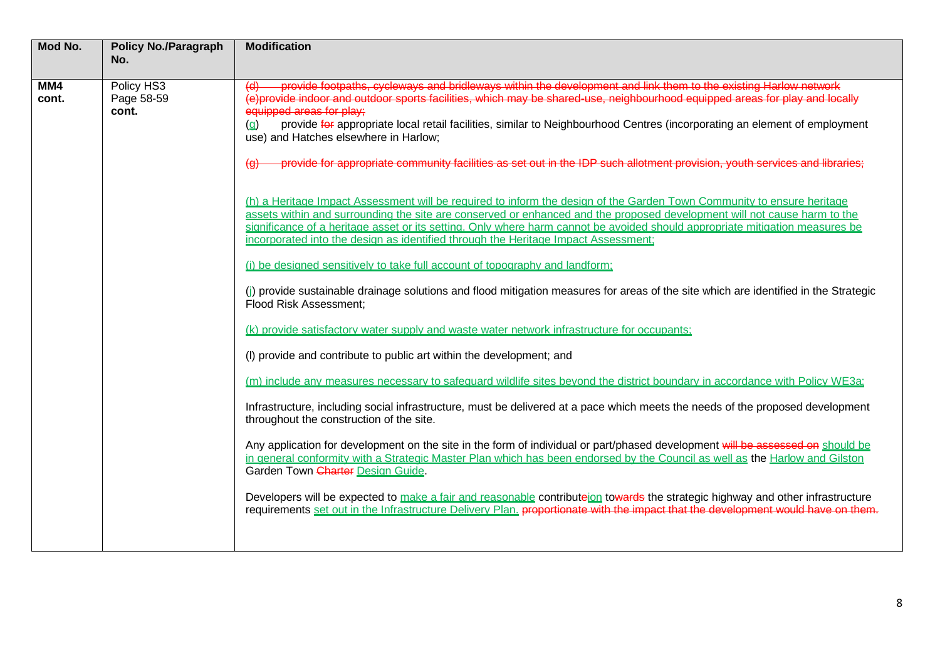| Mod No.      | <b>Policy No./Paragraph</b><br>No. | <b>Modification</b>                                                                                                                                                                                                                                                                                                                                                                                                                                                                                                                                                                   |
|--------------|------------------------------------|---------------------------------------------------------------------------------------------------------------------------------------------------------------------------------------------------------------------------------------------------------------------------------------------------------------------------------------------------------------------------------------------------------------------------------------------------------------------------------------------------------------------------------------------------------------------------------------|
|              |                                    |                                                                                                                                                                                                                                                                                                                                                                                                                                                                                                                                                                                       |
| MM4<br>cont. | Policy HS3<br>Page 58-59<br>cont.  | provide footpaths, cycleways and bridleways within the development and link them to the existing Harlow network<br>(e)provide indoor and outdoor sports facilities, which may be shared use, neighbourhood equipped areas for play and locally<br>equipped areas for play;<br>provide for appropriate local retail facilities, similar to Neighbourhood Centres (incorporating an element of employment<br>(q)<br>use) and Hatches elsewhere in Harlow;<br>erevide for appropriate community facilities as set out in the IDP such allotment provision, youth services and libraries: |
|              |                                    | $\overline{a}$<br>(h) a Heritage Impact Assessment will be required to inform the design of the Garden Town Community to ensure heritage                                                                                                                                                                                                                                                                                                                                                                                                                                              |
|              |                                    | assets within and surrounding the site are conserved or enhanced and the proposed development will not cause harm to the<br>significance of a heritage asset or its setting. Only where harm cannot be avoided should appropriate mitigation measures be<br>incorporated into the design as identified through the Heritage Impact Assessment;                                                                                                                                                                                                                                        |
|              |                                    | (i) be designed sensitively to take full account of topography and landform;                                                                                                                                                                                                                                                                                                                                                                                                                                                                                                          |
|              |                                    | (i) provide sustainable drainage solutions and flood mitigation measures for areas of the site which are identified in the Strategic<br>Flood Risk Assessment;                                                                                                                                                                                                                                                                                                                                                                                                                        |
|              |                                    | (k) provide satisfactory water supply and waste water network infrastructure for occupants;                                                                                                                                                                                                                                                                                                                                                                                                                                                                                           |
|              |                                    | (I) provide and contribute to public art within the development; and                                                                                                                                                                                                                                                                                                                                                                                                                                                                                                                  |
|              |                                    | (m) include any measures necessary to safeguard wildlife sites beyond the district boundary in accordance with Policy WE3a;                                                                                                                                                                                                                                                                                                                                                                                                                                                           |
|              |                                    | Infrastructure, including social infrastructure, must be delivered at a pace which meets the needs of the proposed development<br>throughout the construction of the site.                                                                                                                                                                                                                                                                                                                                                                                                            |
|              |                                    | Any application for development on the site in the form of individual or part/phased development will be assessed on should be<br>in general conformity with a Strategic Master Plan which has been endorsed by the Council as well as the Harlow and Gilston<br>Garden Town Charter Design Guide.                                                                                                                                                                                                                                                                                    |
|              |                                    | Developers will be expected to make a fair and reasonable contributeion towards the strategic highway and other infrastructure<br>requirements set out in the Infrastructure Delivery Plan. proportionate with the impact that the development would have on them.                                                                                                                                                                                                                                                                                                                    |
|              |                                    |                                                                                                                                                                                                                                                                                                                                                                                                                                                                                                                                                                                       |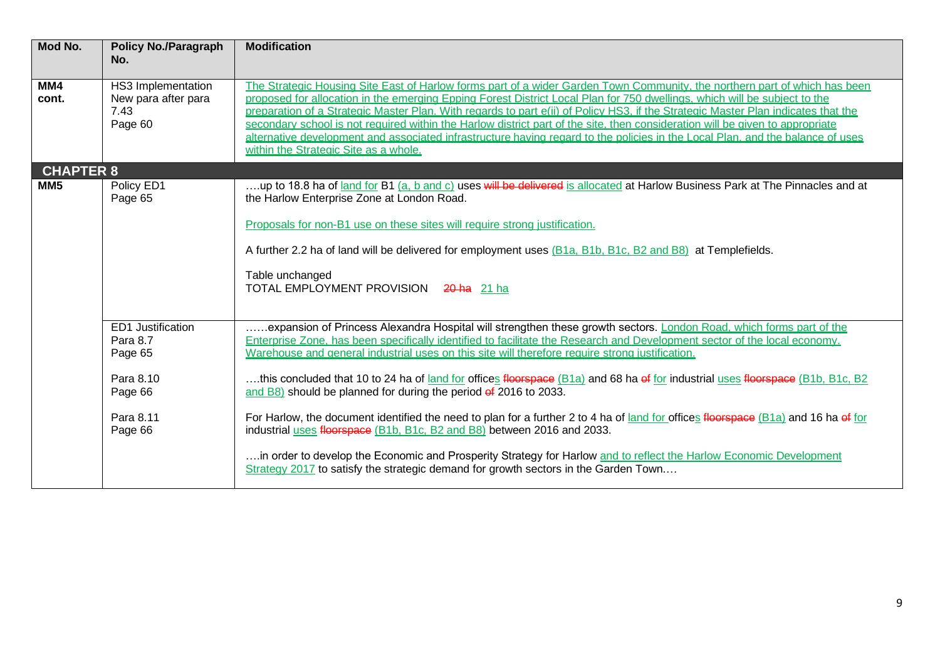| Mod No.          | <b>Policy No./Paragraph</b><br>No.                           | <b>Modification</b>                                                                                                                                                                                                                                                                                                                                                                                                                                                                                                                                                                                                                                                                                      |
|------------------|--------------------------------------------------------------|----------------------------------------------------------------------------------------------------------------------------------------------------------------------------------------------------------------------------------------------------------------------------------------------------------------------------------------------------------------------------------------------------------------------------------------------------------------------------------------------------------------------------------------------------------------------------------------------------------------------------------------------------------------------------------------------------------|
| MM4<br>cont.     | HS3 Implementation<br>New para after para<br>7.43<br>Page 60 | The Strategic Housing Site East of Harlow forms part of a wider Garden Town Community, the northern part of which has been<br>proposed for allocation in the emerging Epping Forest District Local Plan for 750 dwellings, which will be subject to the<br>preparation of a Strategic Master Plan. With regards to part e(ii) of Policy HS3, if the Strategic Master Plan indicates that the<br>secondary school is not required within the Harlow district part of the site, then consideration will be given to appropriate<br>alternative development and associated infrastructure having regard to the policies in the Local Plan, and the balance of uses<br>within the Strategic Site as a whole. |
| <b>CHAPTER 8</b> |                                                              |                                                                                                                                                                                                                                                                                                                                                                                                                                                                                                                                                                                                                                                                                                          |
| MM <sub>5</sub>  | Policy ED1<br>Page 65                                        | up to 18.8 ha of land for B1 (a, b and c) uses will be delivered is allocated at Harlow Business Park at The Pinnacles and at<br>the Harlow Enterprise Zone at London Road.                                                                                                                                                                                                                                                                                                                                                                                                                                                                                                                              |
|                  |                                                              | Proposals for non-B1 use on these sites will require strong justification.                                                                                                                                                                                                                                                                                                                                                                                                                                                                                                                                                                                                                               |
|                  |                                                              | A further 2.2 ha of land will be delivered for employment uses (B1a, B1b, B1c, B2 and B8) at Templefields.                                                                                                                                                                                                                                                                                                                                                                                                                                                                                                                                                                                               |
|                  |                                                              | Table unchanged<br>TOTAL EMPLOYMENT PROVISION 20 ha 21 ha                                                                                                                                                                                                                                                                                                                                                                                                                                                                                                                                                                                                                                                |
|                  | <b>ED1 Justification</b><br>Para 8.7<br>Page 65              | expansion of Princess Alexandra Hospital will strengthen these growth sectors. London Road, which forms part of the<br>Enterprise Zone, has been specifically identified to facilitate the Research and Development sector of the local economy.<br>Warehouse and general industrial uses on this site will therefore require strong justification.                                                                                                                                                                                                                                                                                                                                                      |
|                  | Para 8.10<br>Page 66                                         | this concluded that 10 to 24 ha of land for offices floorspace (B1a) and 68 ha of for industrial uses floorspace (B1b, B1c, B2<br>and B8) should be planned for during the period of 2016 to 2033.                                                                                                                                                                                                                                                                                                                                                                                                                                                                                                       |
|                  | Para 8.11<br>Page 66                                         | For Harlow, the document identified the need to plan for a further 2 to 4 ha of land for offices floorspace (B1a) and 16 ha of for<br>industrial uses floorspace (B1b, B1c, B2 and B8) between 2016 and 2033.                                                                                                                                                                                                                                                                                                                                                                                                                                                                                            |
|                  |                                                              | in order to develop the Economic and Prosperity Strategy for Harlow and to reflect the Harlow Economic Development<br>Strategy 2017 to satisfy the strategic demand for growth sectors in the Garden Town                                                                                                                                                                                                                                                                                                                                                                                                                                                                                                |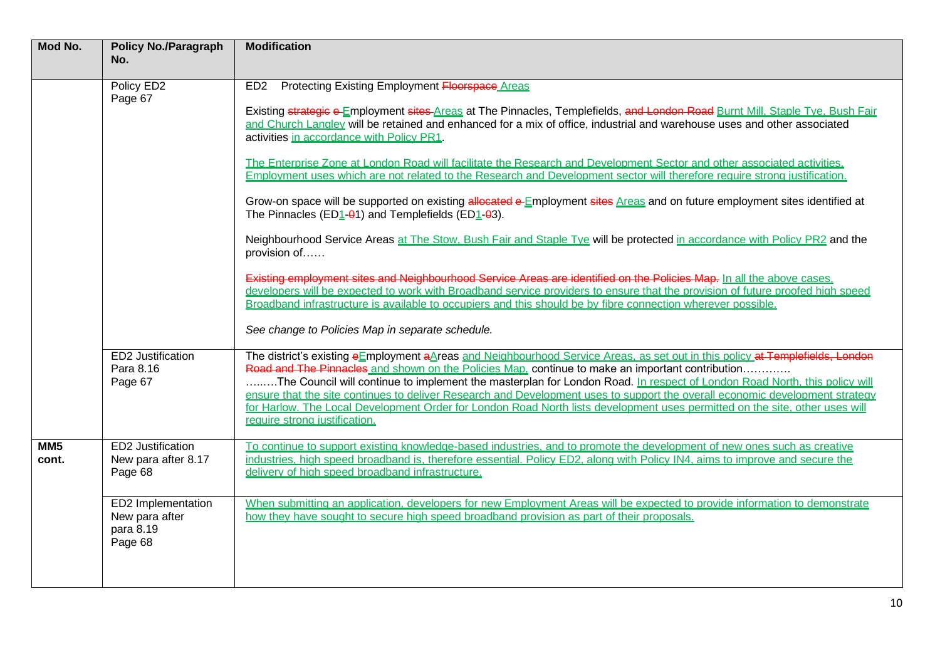| Mod No.                  | <b>Policy No./Paragraph</b><br>No.                           | <b>Modification</b>                                                                                                                                                                                                                                                                                                                                                                                                                                                                                                                                                                                                                                                                                                                                                                                                                          |
|--------------------------|--------------------------------------------------------------|----------------------------------------------------------------------------------------------------------------------------------------------------------------------------------------------------------------------------------------------------------------------------------------------------------------------------------------------------------------------------------------------------------------------------------------------------------------------------------------------------------------------------------------------------------------------------------------------------------------------------------------------------------------------------------------------------------------------------------------------------------------------------------------------------------------------------------------------|
|                          |                                                              |                                                                                                                                                                                                                                                                                                                                                                                                                                                                                                                                                                                                                                                                                                                                                                                                                                              |
|                          | Policy ED2<br>Page 67                                        | Protecting Existing Employment Floorspace Areas<br>ED <sub>2</sub><br>Existing strategic e-Employment sites-Areas at The Pinnacles, Templefields, and London Road Burnt Mill, Staple Tye, Bush Fair<br>and Church Langley will be retained and enhanced for a mix of office, industrial and warehouse uses and other associated<br>activities in accordance with Policy PR1.<br>The Enterprise Zone at London Road will facilitate the Research and Development Sector and other associated activities.<br>Employment uses which are not related to the Research and Development sector will therefore require strong justification.<br>Grow-on space will be supported on existing allocated e-Employment sites Areas and on future employment sites identified at<br>The Pinnacles ( $ED_1$ - $Q_1$ ) and Templefields ( $ED_1$ - $Q_3$ ). |
|                          |                                                              | Neighbourhood Service Areas at The Stow, Bush Fair and Staple Tye will be protected in accordance with Policy PR2 and the<br>provision of<br>Existing employment sites and Neighbourhood Service Areas are identified on the Policies Map. In all the above cases,<br>developers will be expected to work with Broadband service providers to ensure that the provision of future proofed high speed<br>Broadband infrastructure is available to occupiers and this should be by fibre connection wherever possible.<br>See change to Policies Map in separate schedule.                                                                                                                                                                                                                                                                     |
|                          | ED2 Justification<br>Para 8.16<br>Page 67                    | The district's existing eEmployment aAreas and Neighbourhood Service Areas, as set out in this policy at Templefields, London<br>Road and The Pinnacles and shown on the Policies Map, continue to make an important contribution<br>The Council will continue to implement the masterplan for London Road. In respect of London Road North, this policy will<br>ensure that the site continues to deliver Research and Development uses to support the overall economic development strategy<br>for Harlow. The Local Development Order for London Road North lists development uses permitted on the site, other uses will<br>require strong justification.                                                                                                                                                                                |
| MM <sub>5</sub><br>cont. | <b>ED2 Justification</b><br>New para after 8.17<br>Page 68   | To continue to support existing knowledge-based industries, and to promote the development of new ones such as creative<br>industries, high speed broadband is, therefore essential, Policy ED2, along with Policy IN4, aims to improve and secure the<br>delivery of high speed broadband infrastructure.                                                                                                                                                                                                                                                                                                                                                                                                                                                                                                                                   |
|                          | ED2 Implementation<br>New para after<br>para 8.19<br>Page 68 | When submitting an application, developers for new Employment Areas will be expected to provide information to demonstrate<br>how they have sought to secure high speed broadband provision as part of their proposals.                                                                                                                                                                                                                                                                                                                                                                                                                                                                                                                                                                                                                      |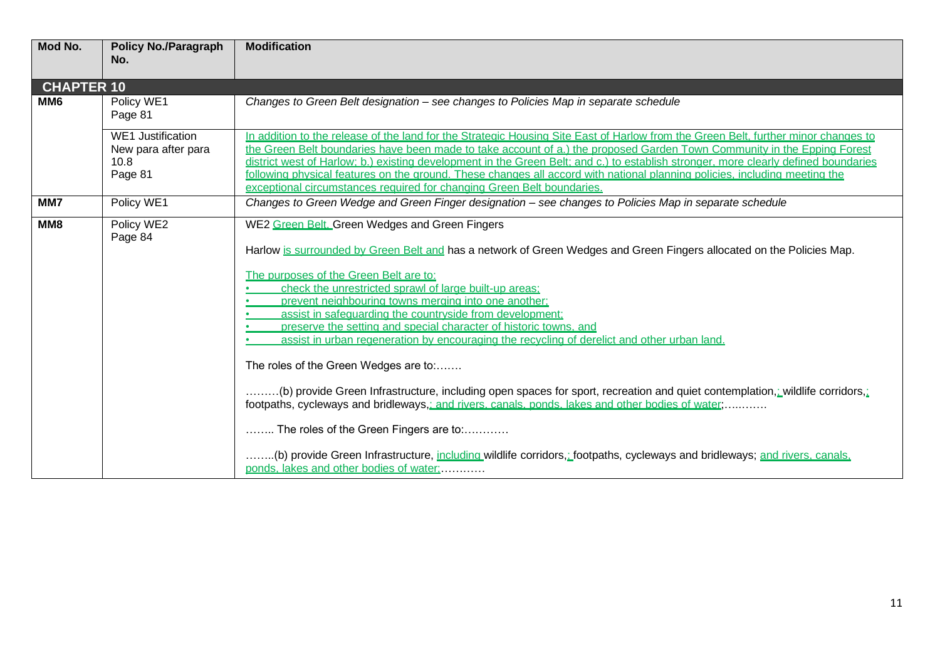| Mod No.           | <b>Policy No./Paragraph</b><br>No.                                 | <b>Modification</b>                                                                                                                                                                                                                                                                                                                                                                                                                                                                                                                                                                                                                                                                                                                                                                                                                                                                        |
|-------------------|--------------------------------------------------------------------|--------------------------------------------------------------------------------------------------------------------------------------------------------------------------------------------------------------------------------------------------------------------------------------------------------------------------------------------------------------------------------------------------------------------------------------------------------------------------------------------------------------------------------------------------------------------------------------------------------------------------------------------------------------------------------------------------------------------------------------------------------------------------------------------------------------------------------------------------------------------------------------------|
| <b>CHAPTER 10</b> |                                                                    |                                                                                                                                                                                                                                                                                                                                                                                                                                                                                                                                                                                                                                                                                                                                                                                                                                                                                            |
| MM <sub>6</sub>   | Policy WE1<br>Page 81                                              | Changes to Green Belt designation – see changes to Policies Map in separate schedule                                                                                                                                                                                                                                                                                                                                                                                                                                                                                                                                                                                                                                                                                                                                                                                                       |
|                   | <b>WE1 Justification</b><br>New para after para<br>10.8<br>Page 81 | In addition to the release of the land for the Strategic Housing Site East of Harlow from the Green Belt, further minor changes to<br>the Green Belt boundaries have been made to take account of a.) the proposed Garden Town Community in the Epping Forest<br>district west of Harlow: b.) existing development in the Green Belt: and c.) to establish stronger, more clearly defined boundaries<br>following physical features on the ground. These changes all accord with national planning policies, including meeting the<br>exceptional circumstances required for changing Green Belt boundaries.                                                                                                                                                                                                                                                                               |
| MM7               | Policy WE1                                                         | Changes to Green Wedge and Green Finger designation – see changes to Policies Map in separate schedule                                                                                                                                                                                                                                                                                                                                                                                                                                                                                                                                                                                                                                                                                                                                                                                     |
| MM8               | Policy WE2<br>Page 84                                              | WE2 Green Belt, Green Wedges and Green Fingers<br>Harlow is surrounded by Green Belt and has a network of Green Wedges and Green Fingers allocated on the Policies Map.<br>The purposes of the Green Belt are to:<br>check the unrestricted sprawl of large built-up areas:<br>prevent neighbouring towns merging into one another;<br>assist in safequarding the countryside from development:<br>preserve the setting and special character of historic towns, and<br>assist in urban regeneration by encouraging the recycling of derelict and other urban land.<br>The roles of the Green Wedges are to:<br>.(b) provide Green Infrastructure, including open spaces for sport, recreation and quiet contemplation, wildlife corridors,<br>footpaths, cycleways and bridleways,: and rivers, canals, ponds, lakes and other bodies of water;<br>The roles of the Green Fingers are to: |
|                   |                                                                    | (b) provide Green Infrastructure, including wildlife corridors, footpaths, cycleways and bridleways; and rivers, canals,<br>ponds, lakes and other bodies of water:                                                                                                                                                                                                                                                                                                                                                                                                                                                                                                                                                                                                                                                                                                                        |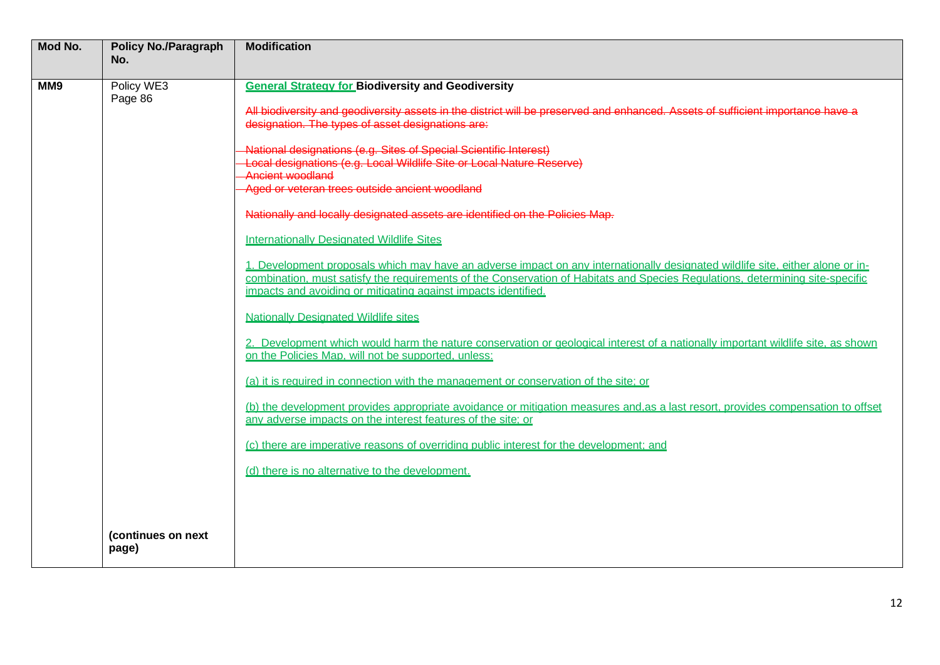| Mod No. | <b>Policy No./Paragraph</b><br>No. | <b>Modification</b>                                                                                                                                                                                                                                                                                                                                                                                                                                                                                                                                                                                                              |
|---------|------------------------------------|----------------------------------------------------------------------------------------------------------------------------------------------------------------------------------------------------------------------------------------------------------------------------------------------------------------------------------------------------------------------------------------------------------------------------------------------------------------------------------------------------------------------------------------------------------------------------------------------------------------------------------|
| MM9     | Policy WE3<br>Page 86              | <b>General Strategy for Biodiversity and Geodiversity</b><br>All biodiversity and geodiversity assets in the district will be preserved and enhanced. Assets of sufficient importance have a<br>designation. The types of asset designations are:<br>National designations (e.g. Sites of Special Scientific Interest)<br>Local designations (e.g. Local Wildlife Site or Local Nature Reserve)<br>Ancient woodland                                                                                                                                                                                                              |
|         |                                    | Aged or veteran trees outside ancient woodland<br>Nationally and locally designated assets are identified on the Policies Map.<br><b>Internationally Designated Wildlife Sites</b><br>1. Development proposals which may have an adverse impact on any internationally designated wildlife site, either alone or in-<br>combination, must satisfy the requirements of the Conservation of Habitats and Species Requlations, determining site-specific<br>impacts and avoiding or mitigating against impacts identified.<br><b>Nationally Designated Wildlife sites</b>                                                           |
|         |                                    | 2. Development which would harm the nature conservation or geological interest of a nationally important wildlife site, as shown<br>on the Policies Map, will not be supported, unless:<br>(a) it is required in connection with the management or conservation of the site; or<br>(b) the development provides appropriate avoidance or mitigation measures and as a last resort, provides compensation to offset<br>any adverse impacts on the interest features of the site; or<br>(c) there are imperative reasons of overriding public interest for the development; and<br>(d) there is no alternative to the development. |
|         | (continues on next<br>page)        |                                                                                                                                                                                                                                                                                                                                                                                                                                                                                                                                                                                                                                  |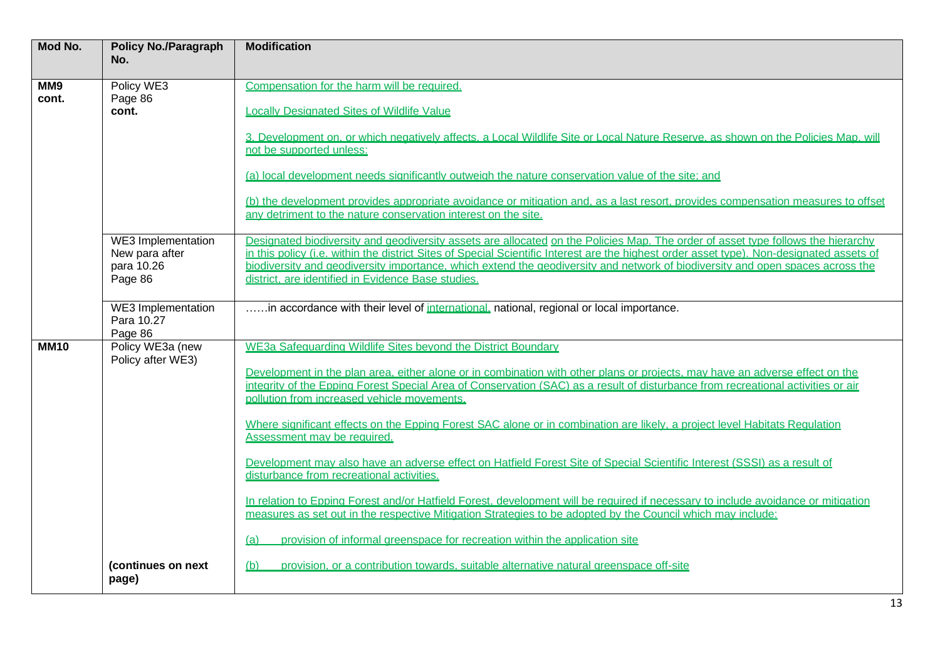| Mod No.     | <b>Policy No./Paragraph</b><br>No.    | <b>Modification</b>                                                                                                                                                                                |
|-------------|---------------------------------------|----------------------------------------------------------------------------------------------------------------------------------------------------------------------------------------------------|
|             |                                       |                                                                                                                                                                                                    |
| MM9         | Policy WE3                            | Compensation for the harm will be required.                                                                                                                                                        |
| cont.       | Page 86                               |                                                                                                                                                                                                    |
|             | cont.                                 | <b>Locally Designated Sites of Wildlife Value</b>                                                                                                                                                  |
|             |                                       |                                                                                                                                                                                                    |
|             |                                       | 3. Development on, or which negatively affects, a Local Wildlife Site or Local Nature Reserve, as shown on the Policies Map, will<br>not be supported unless:                                      |
|             |                                       |                                                                                                                                                                                                    |
|             |                                       | (a) local development needs significantly outweigh the nature conservation value of the site; and                                                                                                  |
|             |                                       | (b) the development provides appropriate avoidance or mitigation and, as a last resort, provides compensation measures to offset<br>any detriment to the nature conservation interest on the site. |
|             | WE3 Implementation                    | Designated biodiversity and geodiversity assets are allocated on the Policies Map. The order of asset type follows the hierarchy                                                                   |
|             | New para after                        | in this policy (i.e. within the district Sites of Special Scientific Interest are the highest order asset type). Non-designated assets of                                                          |
|             | para 10.26                            | biodiversity and geodiversity importance, which extend the geodiversity and network of biodiversity and open spaces across the                                                                     |
|             | Page 86                               | district, are identified in Evidence Base studies.                                                                                                                                                 |
|             |                                       |                                                                                                                                                                                                    |
|             | <b>WE3</b> Implementation             | in accordance with their level of international, national, regional or local importance.                                                                                                           |
|             | Para 10.27                            |                                                                                                                                                                                                    |
|             | Page 86                               |                                                                                                                                                                                                    |
| <b>MM10</b> | Policy WE3a (new<br>Policy after WE3) | WE3a Safeguarding Wildlife Sites bevond the District Boundary                                                                                                                                      |
|             |                                       | Development in the plan area, either alone or in combination with other plans or projects, may have an adverse effect on the                                                                       |
|             |                                       | integrity of the Epping Forest Special Area of Conservation (SAC) as a result of disturbance from recreational activities or air                                                                   |
|             |                                       | pollution from increased vehicle movements.                                                                                                                                                        |
|             |                                       |                                                                                                                                                                                                    |
|             |                                       | Where significant effects on the Epping Forest SAC alone or in combination are likely, a project level Habitats Regulation                                                                         |
|             |                                       | Assessment may be required.                                                                                                                                                                        |
|             |                                       |                                                                                                                                                                                                    |
|             |                                       | Development may also have an adverse effect on Hatfield Forest Site of Special Scientific Interest (SSSI) as a result of<br>disturbance from recreational activities.                              |
|             |                                       |                                                                                                                                                                                                    |
|             |                                       | In relation to Epping Forest and/or Hatfield Forest, development will be required if necessary to include avoidance or mitigation                                                                  |
|             |                                       | measures as set out in the respective Mitigation Strategies to be adopted by the Council which may include:                                                                                        |
|             |                                       |                                                                                                                                                                                                    |
|             |                                       | provision of informal greenspace for recreation within the application site<br>(a)                                                                                                                 |
|             | (continues on next                    | (b)<br>provision, or a contribution towards, suitable alternative natural greenspace off-site                                                                                                      |
|             | page)                                 |                                                                                                                                                                                                    |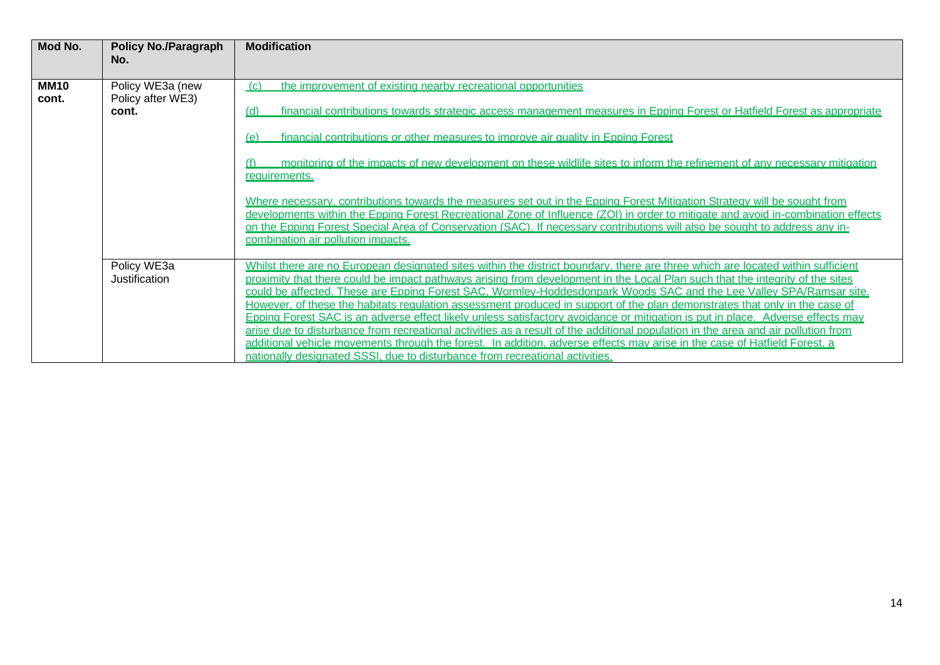| Mod No.              | <b>Policy No./Paragraph</b><br>No.             | <b>Modification</b>                                                                                                                                                                                                                                                                                                                                                                                                                                                                                                                                                                                                                                                                                                                                                                                                                                                                                                                                                                                                                             |
|----------------------|------------------------------------------------|-------------------------------------------------------------------------------------------------------------------------------------------------------------------------------------------------------------------------------------------------------------------------------------------------------------------------------------------------------------------------------------------------------------------------------------------------------------------------------------------------------------------------------------------------------------------------------------------------------------------------------------------------------------------------------------------------------------------------------------------------------------------------------------------------------------------------------------------------------------------------------------------------------------------------------------------------------------------------------------------------------------------------------------------------|
| <b>MM10</b><br>cont. | Policy WE3a (new<br>Policy after WE3)<br>cont. | the improvement of existing nearby recreational opportunities<br>(C)<br>financial contributions towards strategic access management measures in Epping Forest or Hatfield Forest as appropriate<br>(d)<br>financial contributions or other measures to improve air quality in Epping Forest<br>(e)<br>monitoring of the impacts of new development on these wildlife sites to inform the refinement of any necessary mitigation<br>requirements.<br>Where necessary, contributions towards the measures set out in the Epping Forest Mitigation Strategy will be sought from<br>developments within the Epping Forest Recreational Zone of Influence (ZOI) in order to mitigate and avoid in-combination effects<br>on the Epping Forest Special Area of Conservation (SAC). If necessary contributions will also be sought to address any in-                                                                                                                                                                                                  |
|                      | Policy WE3a<br>Justification                   | combination air pollution impacts.<br>Whilst there are no European designated sites within the district boundary, there are three which are located within sufficient<br>proximity that there could be impact pathways arising from development in the Local Plan such that the integrity of the sites<br>could be affected. These are Epping Forest SAC. Wormley-Hoddesdonpark Woods SAC and the Lee Valley SPA/Ramsar site.<br>However, of these the habitats regulation assessment produced in support of the plan demonstrates that only in the case of<br>Epping Forest SAC is an adverse effect likely unless satisfactory avoidance or mitigation is put in place. Adverse effects may<br>arise due to disturbance from recreational activities as a result of the additional population in the area and air pollution from<br>additional vehicle movements through the forest. In addition, adverse effects may arise in the case of Hatfield Forest, a<br>nationally designated SSSI, due to disturbance from recreational activities. |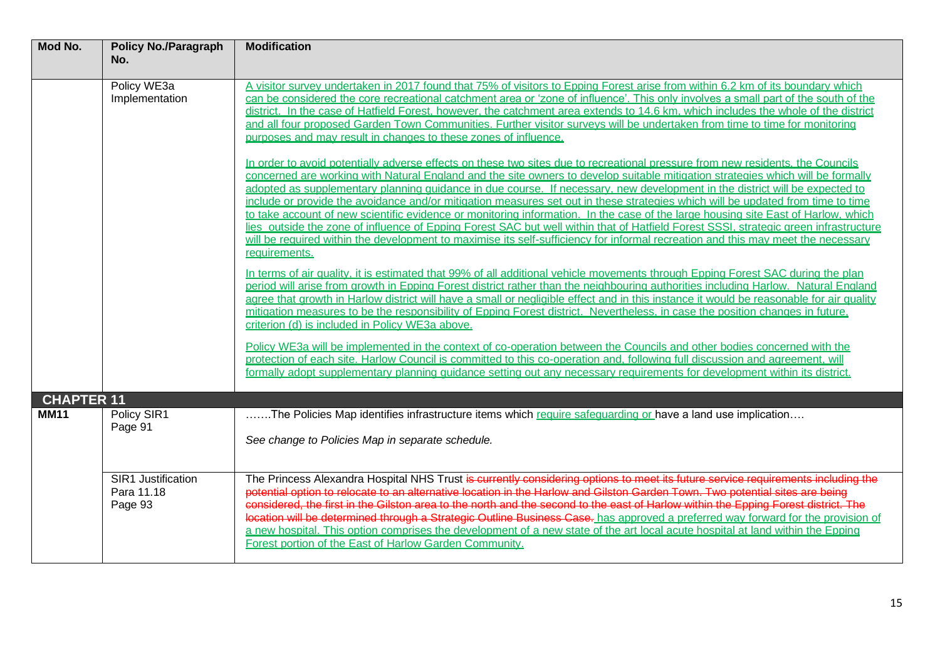| Mod No.                          | <b>Policy No./Paragraph</b><br>No.                 | <b>Modification</b>                                                                                                                                                                                                                                                                                                                                                                                                                                                                                                                                                                                                                                                                                                                                                                                                                                                                                                                                                                                                                                                                                                                                                                                                                                                                                                                                                                                                                                                                                                                                                                                                                                                                                                                                                                                                                                                                                                                                                                                                                                                                                                                                                                          |
|----------------------------------|----------------------------------------------------|----------------------------------------------------------------------------------------------------------------------------------------------------------------------------------------------------------------------------------------------------------------------------------------------------------------------------------------------------------------------------------------------------------------------------------------------------------------------------------------------------------------------------------------------------------------------------------------------------------------------------------------------------------------------------------------------------------------------------------------------------------------------------------------------------------------------------------------------------------------------------------------------------------------------------------------------------------------------------------------------------------------------------------------------------------------------------------------------------------------------------------------------------------------------------------------------------------------------------------------------------------------------------------------------------------------------------------------------------------------------------------------------------------------------------------------------------------------------------------------------------------------------------------------------------------------------------------------------------------------------------------------------------------------------------------------------------------------------------------------------------------------------------------------------------------------------------------------------------------------------------------------------------------------------------------------------------------------------------------------------------------------------------------------------------------------------------------------------------------------------------------------------------------------------------------------------|
|                                  | Policy WE3a<br>Implementation                      | A visitor survey undertaken in 2017 found that 75% of visitors to Epping Forest arise from within 6.2 km of its boundary which<br>can be considered the core recreational catchment area or 'zone of influence'. This only involves a small part of the south of the<br>district. In the case of Hatfield Forest, however, the catchment area extends to 14.6 km, which includes the whole of the district<br>and all four proposed Garden Town Communities. Further visitor surveys will be undertaken from time to time for monitoring<br>purposes and may result in changes to these zones of influence.<br>In order to avoid potentially adverse effects on these two sites due to recreational pressure from new residents, the Councils<br>concerned are working with Natural England and the site owners to develop suitable mitigation strategies which will be formally<br>adopted as supplementary planning quidance in due course. If necessary, new development in the district will be expected to<br>include or provide the avoidance and/or mitigation measures set out in these strategies which will be updated from time to time<br>to take account of new scientific evidence or monitoring information. In the case of the large housing site East of Harlow, which<br>lies outside the zone of influence of Epping Forest SAC but well within that of Hatfield Forest SSSI, strategic green infrastructure<br>will be required within the development to maximise its self-sufficiency for informal recreation and this may meet the necessary<br>requirements.<br>In terms of air quality, it is estimated that 99% of all additional vehicle movements through Epping Forest SAC during the plan<br>period will arise from growth in Epping Forest district rather than the neighbouring authorities including Harlow. Natural England<br>agree that growth in Harlow district will have a small or negligible effect and in this instance it would be reasonable for air quality<br>mitigation measures to be the responsibility of Epping Forest district. Nevertheless, in case the position changes in future.<br>criterion (d) is included in Policy WE3a above. |
|                                  |                                                    | Policy WE3a will be implemented in the context of co-operation between the Councils and other bodies concerned with the<br>protection of each site. Harlow Council is committed to this co-operation and, following full discussion and agreement, will<br>formally adopt supplementary planning quidance setting out any necessary requirements for development within its district.                                                                                                                                                                                                                                                                                                                                                                                                                                                                                                                                                                                                                                                                                                                                                                                                                                                                                                                                                                                                                                                                                                                                                                                                                                                                                                                                                                                                                                                                                                                                                                                                                                                                                                                                                                                                        |
| <b>CHAPTER 11</b><br><b>MM11</b> | Policy SIR1<br>Page 91                             | The Policies Map identifies infrastructure items which require safequarding or have a land use implication<br>See change to Policies Map in separate schedule.                                                                                                                                                                                                                                                                                                                                                                                                                                                                                                                                                                                                                                                                                                                                                                                                                                                                                                                                                                                                                                                                                                                                                                                                                                                                                                                                                                                                                                                                                                                                                                                                                                                                                                                                                                                                                                                                                                                                                                                                                               |
|                                  | <b>SIR1 Justification</b><br>Para 11.18<br>Page 93 | The Princess Alexandra Hospital NHS Trust is currently considering options to meet its future service requirements including the<br>potential option to relocate to an alternative location in the Harlow and Gilston Garden Town. Two potential sites are being<br>considered, the first in the Gilston area to the north and the second to the east of Harlow within the Epping Forest district. The<br>location will be determined through a Strategic Outline Business Case. has approved a preferred way forward for the provision of<br>a new hospital. This option comprises the development of a new state of the art local acute hospital at land within the Epping<br>Forest portion of the East of Harlow Garden Community.                                                                                                                                                                                                                                                                                                                                                                                                                                                                                                                                                                                                                                                                                                                                                                                                                                                                                                                                                                                                                                                                                                                                                                                                                                                                                                                                                                                                                                                       |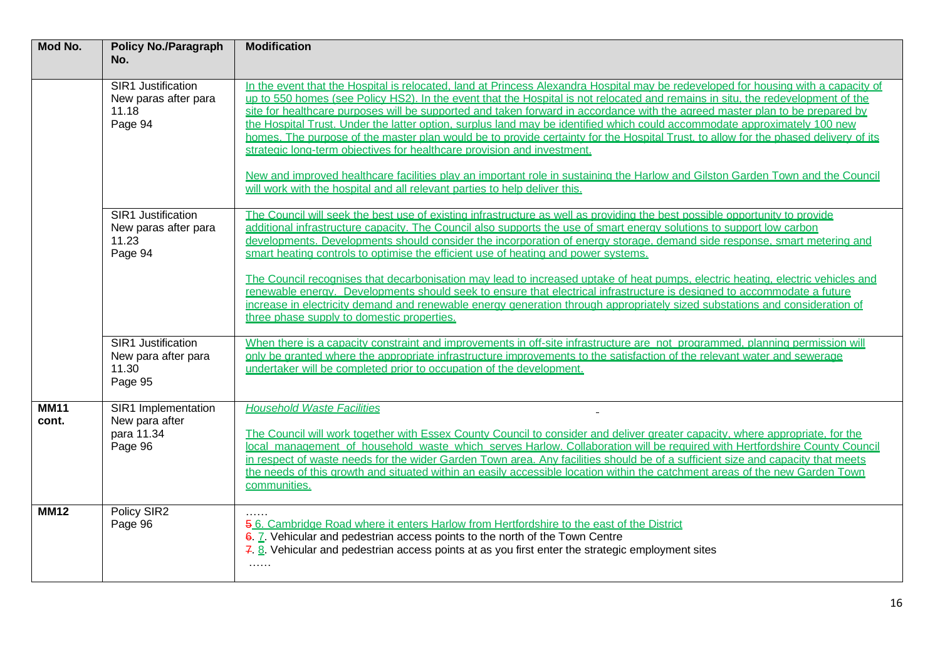| Mod No.              | <b>Policy No./Paragraph</b><br>No.                             | <b>Modification</b>                                                                                                                                                                                                                                                                                                                                                                                                                                                                                                                                                                                                                                                                                                                                                                                                                                                                                                                                                  |
|----------------------|----------------------------------------------------------------|----------------------------------------------------------------------------------------------------------------------------------------------------------------------------------------------------------------------------------------------------------------------------------------------------------------------------------------------------------------------------------------------------------------------------------------------------------------------------------------------------------------------------------------------------------------------------------------------------------------------------------------------------------------------------------------------------------------------------------------------------------------------------------------------------------------------------------------------------------------------------------------------------------------------------------------------------------------------|
|                      | SIR1 Justification<br>New paras after para<br>11.18<br>Page 94 | In the event that the Hospital is relocated. Iand at Princess Alexandra Hospital may be redeveloped for housing with a capacity of<br>up to 550 homes (see Policy HS2). In the event that the Hospital is not relocated and remains in situ, the redevelopment of the<br>site for healthcare purposes will be supported and taken forward in accordance with the agreed master plan to be prepared by<br>the Hospital Trust. Under the latter option, surplus land may be identified which could accommodate approximately 100 new<br>homes. The purpose of the master plan would be to provide certainty for the Hospital Trust, to allow for the phased delivery of its<br>strategic long-term objectives for healthcare provision and investment.<br>New and improved healthcare facilities play an important role in sustaining the Harlow and Gilston Garden Town and the Council<br>will work with the hospital and all relevant parties to help deliver this. |
|                      | SIR1 Justification<br>New paras after para<br>11.23<br>Page 94 | The Council will seek the best use of existing infrastructure as well as providing the best possible opportunity to provide<br>additional infrastructure capacity. The Council also supports the use of smart energy solutions to support low carbon<br>developments. Developments should consider the incorporation of energy storage, demand side response, smart metering and<br>smart heating controls to optimise the efficient use of heating and power systems.<br>The Council recognises that decarbonisation may lead to increased uptake of heat pumps, electric heating, electric vehicles and<br>renewable energy. Developments should seek to ensure that electrical infrastructure is designed to accommodate a future<br>increase in electricity demand and renewable energy generation through appropriately sized substations and consideration of<br>three phase supply to domestic properties.                                                    |
|                      | SIR1 Justification<br>New para after para<br>11.30<br>Page 95  | When there is a capacity constraint and improvements in off-site infrastructure are not programmed, planning permission will<br>only be granted where the appropriate infrastructure improvements to the satisfaction of the relevant water and sewerage<br>undertaker will be completed prior to occupation of the development.                                                                                                                                                                                                                                                                                                                                                                                                                                                                                                                                                                                                                                     |
| <b>MM11</b><br>cont. | SIR1 Implementation<br>New para after<br>para 11.34<br>Page 96 | <b>Household Waste Facilities</b><br>The Council will work together with Essex County Council to consider and deliver greater capacity, where appropriate, for the<br>local management of household waste which serves Harlow. Collaboration will be required with Hertfordshire County Council<br>in respect of waste needs for the wider Garden Town area. Any facilities should be of a sufficient size and capacity that meets<br>the needs of this growth and situated within an easily accessible location within the catchment areas of the new Garden Town<br>communities.                                                                                                                                                                                                                                                                                                                                                                                   |
| <b>MM12</b>          | Policy SIR2<br>Page 96                                         | 5.6. Cambridge Road where it enters Harlow from Hertfordshire to the east of the District<br>6. Z. Vehicular and pedestrian access points to the north of the Town Centre<br>7. 8. Vehicular and pedestrian access points at as you first enter the strategic employment sites<br>$\sim$ - $\sim$ - $\sim$                                                                                                                                                                                                                                                                                                                                                                                                                                                                                                                                                                                                                                                           |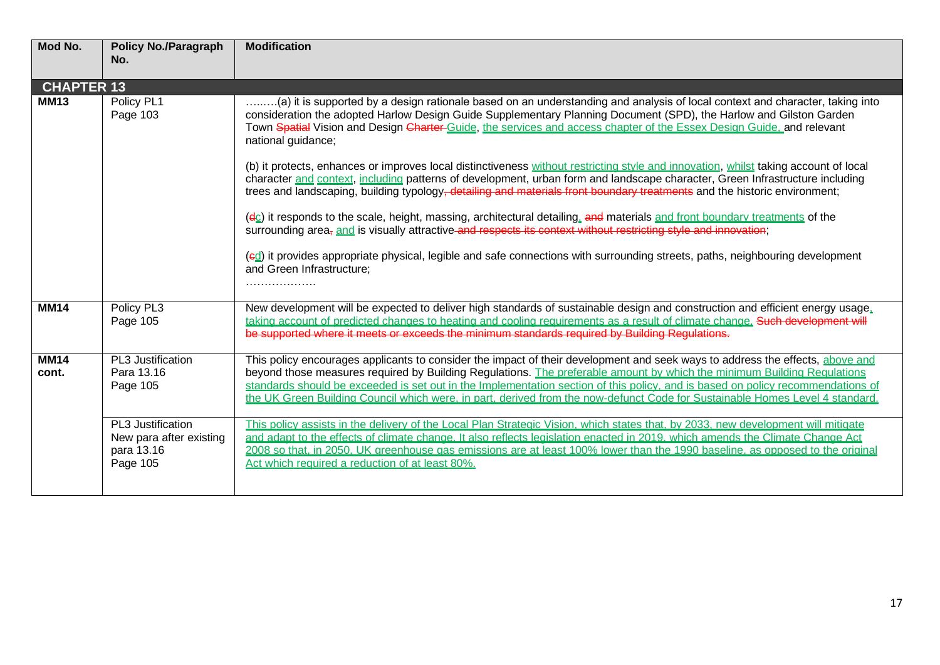| Mod No.              | <b>Policy No./Paragraph</b><br>No.                                     | <b>Modification</b>                                                                                                                                                                                                                                                                                                                                                                                                                                                                                                                                                                                                                                                                                                                                                                                                                                                                                                                                                                                                                                                                                                                                                                                  |
|----------------------|------------------------------------------------------------------------|------------------------------------------------------------------------------------------------------------------------------------------------------------------------------------------------------------------------------------------------------------------------------------------------------------------------------------------------------------------------------------------------------------------------------------------------------------------------------------------------------------------------------------------------------------------------------------------------------------------------------------------------------------------------------------------------------------------------------------------------------------------------------------------------------------------------------------------------------------------------------------------------------------------------------------------------------------------------------------------------------------------------------------------------------------------------------------------------------------------------------------------------------------------------------------------------------|
| <b>CHAPTER 13</b>    |                                                                        |                                                                                                                                                                                                                                                                                                                                                                                                                                                                                                                                                                                                                                                                                                                                                                                                                                                                                                                                                                                                                                                                                                                                                                                                      |
| <b>MM13</b>          | Policy PL1<br>Page 103                                                 | a) it is supported by a design rationale based on an understanding and analysis of local context and character, taking into<br>consideration the adopted Harlow Design Guide Supplementary Planning Document (SPD), the Harlow and Gilston Garden<br>Town Spatial Vision and Design Charter Guide, the services and access chapter of the Essex Design Guide, and relevant<br>national guidance;<br>(b) it protects, enhances or improves local distinctiveness without restricting style and innovation, whilst taking account of local<br>character and context, including patterns of development, urban form and landscape character, Green Infrastructure including<br>trees and landscaping, building typology, detailing and materials front boundary treatments and the historic environment;<br>(dc) it responds to the scale, height, massing, architectural detailing, and materials and front boundary treatments of the<br>surrounding area <sub>7</sub> and is visually attractive and respects its context without restricting style and innovation:<br>(ed) it provides appropriate physical, legible and safe connections with surrounding streets, paths, neighbouring development |
|                      |                                                                        | and Green Infrastructure;<br>.                                                                                                                                                                                                                                                                                                                                                                                                                                                                                                                                                                                                                                                                                                                                                                                                                                                                                                                                                                                                                                                                                                                                                                       |
| <b>MM14</b>          | Policy PL3<br>Page 105                                                 | New development will be expected to deliver high standards of sustainable design and construction and efficient energy usage.<br>taking account of predicted changes to heating and cooling requirements as a result of climate change. Such development will<br>be supported where it meets or exceeds the minimum standards required by Building Regulations.                                                                                                                                                                                                                                                                                                                                                                                                                                                                                                                                                                                                                                                                                                                                                                                                                                      |
| <b>MM14</b><br>cont. | PL3 Justification<br>Para 13.16<br>Page 105                            | This policy encourages applicants to consider the impact of their development and seek ways to address the effects, above and<br>beyond those measures required by Building Regulations. The preferable amount by which the minimum Building Regulations<br>standards should be exceeded is set out in the Implementation section of this policy, and is based on policy recommendations of<br>the UK Green Building Council which were, in part, derived from the now-defunct Code for Sustainable Homes Level 4 standard.                                                                                                                                                                                                                                                                                                                                                                                                                                                                                                                                                                                                                                                                          |
|                      | PL3 Justification<br>New para after existing<br>para 13.16<br>Page 105 | This policy assists in the delivery of the Local Plan Strategic Vision, which states that, by 2033, new development will mitigate<br>and adapt to the effects of climate change. It also reflects legislation enacted in 2019, which amends the Climate Change Act<br>2008 so that, in 2050, UK greenhouse gas emissions are at least 100% lower than the 1990 baseline, as opposed to the original<br>Act which required a reduction of at least 80%.                                                                                                                                                                                                                                                                                                                                                                                                                                                                                                                                                                                                                                                                                                                                               |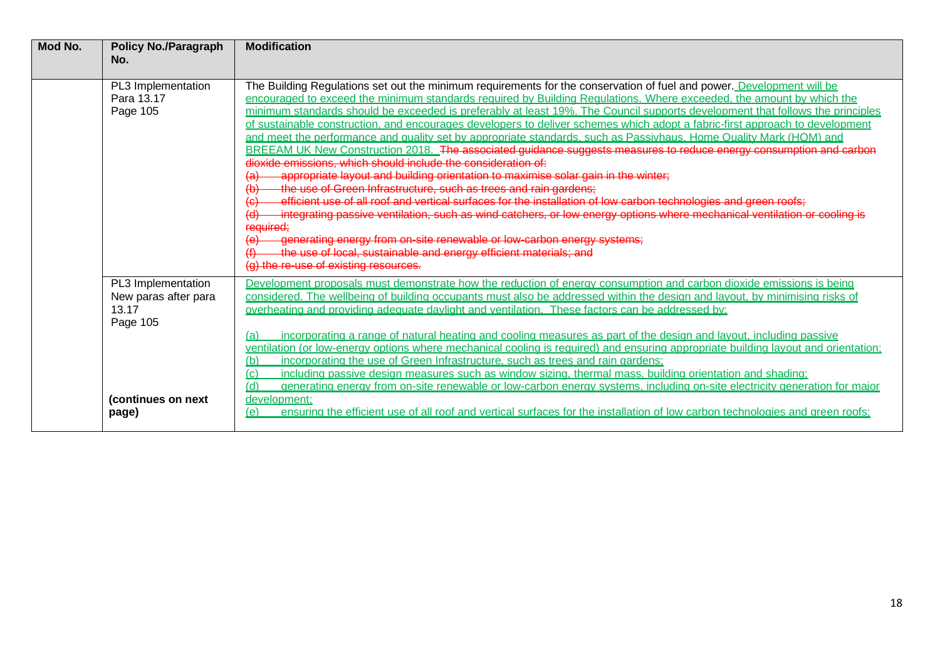| Mod No. | <b>Policy No./Paragraph</b><br>No.                                                             | <b>Modification</b>                                                                                                                                                                                                                                                                                                                                                                                                                                                                                                                                                                                                                                                                                                                                                                                                                                                                                                                                                                                                                                                                                                                                                                                                                                                                                                                                                                                                                       |
|---------|------------------------------------------------------------------------------------------------|-------------------------------------------------------------------------------------------------------------------------------------------------------------------------------------------------------------------------------------------------------------------------------------------------------------------------------------------------------------------------------------------------------------------------------------------------------------------------------------------------------------------------------------------------------------------------------------------------------------------------------------------------------------------------------------------------------------------------------------------------------------------------------------------------------------------------------------------------------------------------------------------------------------------------------------------------------------------------------------------------------------------------------------------------------------------------------------------------------------------------------------------------------------------------------------------------------------------------------------------------------------------------------------------------------------------------------------------------------------------------------------------------------------------------------------------|
|         | PL3 Implementation<br>Para 13.17<br>Page 105                                                   | The Building Regulations set out the minimum requirements for the conservation of fuel and power. Development will be<br>encouraged to exceed the minimum standards required by Building Requlations. Where exceeded, the amount by which the<br>minimum standards should be exceeded is preferably at least 19%. The Council supports development that follows the principles<br>of sustainable construction, and encourages developers to deliver schemes which adopt a fabric-first approach to development<br>and meet the performance and quality set by appropriate standards, such as Passivhaus, Home Quality Mark (HQM) and<br>BREEAM UK New Construction 2018. The associated guidance suggests measures to reduce energy consumption and carbon<br>dioxide emissions, which should include the consideration of:<br>appropriate layout and building orientation to maximise solar gain in the winter;<br>the use of Green Infrastructure, such as trees and rain gardens;<br>efficient use of all roof and vertical surfaces for the installation of low carbon technologies and green roofs;<br>integrating passive ventilation, such as wind catchers, or low energy options where mechanical ventilation or cooling is<br>required;<br>generating energy from on-site renewable or low-carbon energy systems;<br>the use of local, sustainable and energy efficient materials; and<br>(g) the re-use of existing resources. |
|         | PL3 Implementation<br>New paras after para<br>13.17<br>Page 105<br>(continues on next<br>page) | Development proposals must demonstrate how the reduction of energy consumption and carbon dioxide emissions is being<br>considered. The wellbeing of building occupants must also be addressed within the design and layout, by minimising risks of<br>overheating and providing adequate daylight and ventilation. These factors can be addressed by:<br>incorporating a range of natural heating and cooling measures as part of the design and layout, including passive<br>(a)<br>ventilation (or low-energy options where mechanical cooling is required) and ensuring appropriate building layout and orientation;<br>incorporating the use of Green Infrastructure, such as trees and rain gardens;<br>(b)<br>including passive design measures such as window sizing, thermal mass, building orientation and shading:<br>(c)<br>(d)<br>generating energy from on-site renewable or low-carbon energy systems, including on-site electricity generation for major<br>development:<br>ensuring the efficient use of all roof and vertical surfaces for the installation of low carbon technologies and green roofs;<br>(e)                                                                                                                                                                                                                                                                                                          |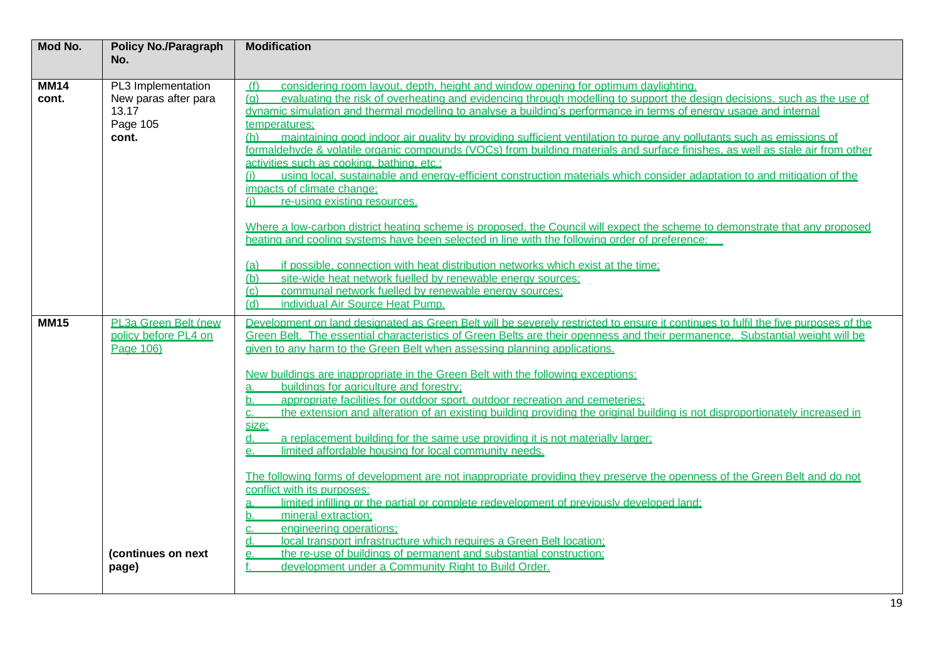| Mod No.              | <b>Policy No./Paragraph</b><br>No.                                                        | <b>Modification</b>                                                                                                                                                                                                                                                                                                                                                                                                                                                                                                                                                                                                                                                                                                                                                                                                                                                                                                                                                                                                                                                                                                                                                                                                                                                                                                                                                                                                                       |
|----------------------|-------------------------------------------------------------------------------------------|-------------------------------------------------------------------------------------------------------------------------------------------------------------------------------------------------------------------------------------------------------------------------------------------------------------------------------------------------------------------------------------------------------------------------------------------------------------------------------------------------------------------------------------------------------------------------------------------------------------------------------------------------------------------------------------------------------------------------------------------------------------------------------------------------------------------------------------------------------------------------------------------------------------------------------------------------------------------------------------------------------------------------------------------------------------------------------------------------------------------------------------------------------------------------------------------------------------------------------------------------------------------------------------------------------------------------------------------------------------------------------------------------------------------------------------------|
|                      |                                                                                           |                                                                                                                                                                                                                                                                                                                                                                                                                                                                                                                                                                                                                                                                                                                                                                                                                                                                                                                                                                                                                                                                                                                                                                                                                                                                                                                                                                                                                                           |
| <b>MM14</b><br>cont. | PL3 Implementation<br>New paras after para<br>13.17<br>Page 105<br>cont.                  | (f)<br>considering room layout, depth, height and window opening for optimum daylighting.<br>evaluating the risk of overheating and evidencing through modelling to support the design decisions, such as the use of<br>(a)<br>dynamic simulation and thermal modelling to analyse a building's performance in terms of energy usage and internal<br>temperatures:<br>maintaining good indoor air quality by providing sufficient ventilation to purge any pollutants such as emissions of<br>(h)<br>formaldehyde & volatile organic compounds (VOCs) from building materials and surface finishes, as well as stale air from other<br>activities such as cooking, bathing, etc.;<br>using local, sustainable and energy-efficient construction materials which consider adaptation to and mitigation of the<br>impacts of climate change:<br>re-using existing resources.<br>(i)                                                                                                                                                                                                                                                                                                                                                                                                                                                                                                                                                         |
|                      |                                                                                           | Where a low-carbon district heating scheme is proposed, the Council will expect the scheme to demonstrate that any proposed<br>heating and cooling systems have been selected in line with the following order of preference:<br>if possible, connection with heat distribution networks which exist at the time:<br>(a)<br>site-wide heat network fuelled by renewable energy sources:<br>(b)<br>communal network fuelled by renewable energy sources;<br>(c)<br>individual Air Source Heat Pump.<br>(d)                                                                                                                                                                                                                                                                                                                                                                                                                                                                                                                                                                                                                                                                                                                                                                                                                                                                                                                                 |
| <b>MM15</b>          | PL3a Green Belt (new<br>policy before PL4 on<br>Page 106)<br>(continues on next)<br>page) | Development on land designated as Green Belt will be severely restricted to ensure it continues to fulfil the five purposes of the<br>Green Belt. The essential characteristics of Green Belts are their openness and their permanence. Substantial weight will be<br>given to any harm to the Green Belt when assessing planning applications.<br>New buildings are inappropriate in the Green Belt with the following exceptions:<br>buildings for agriculture and forestry;<br>a.<br>appropriate facilities for outdoor sport, outdoor recreation and cemeteries;<br>b.<br>the extension and alteration of an existing building providing the original building is not disproportionately increased in<br>C.<br>size:<br>a replacement building for the same use providing it is not materially larger:<br>d.<br>limited affordable housing for local community needs.<br>$\mathsf{e}$ .<br>The following forms of development are not inappropriate providing they preserve the openness of the Green Belt and do not<br>conflict with its purposes:<br>limited infilling or the partial or complete redevelopment of previously developed land;<br>a.<br>mineral extraction:<br>b.<br>engineering operations:<br>C.<br>local transport infrastructure which requires a Green Belt location;<br>d.<br>the re-use of buildings of permanent and substantial construction;<br>е.<br>development under a Community Right to Build Order. |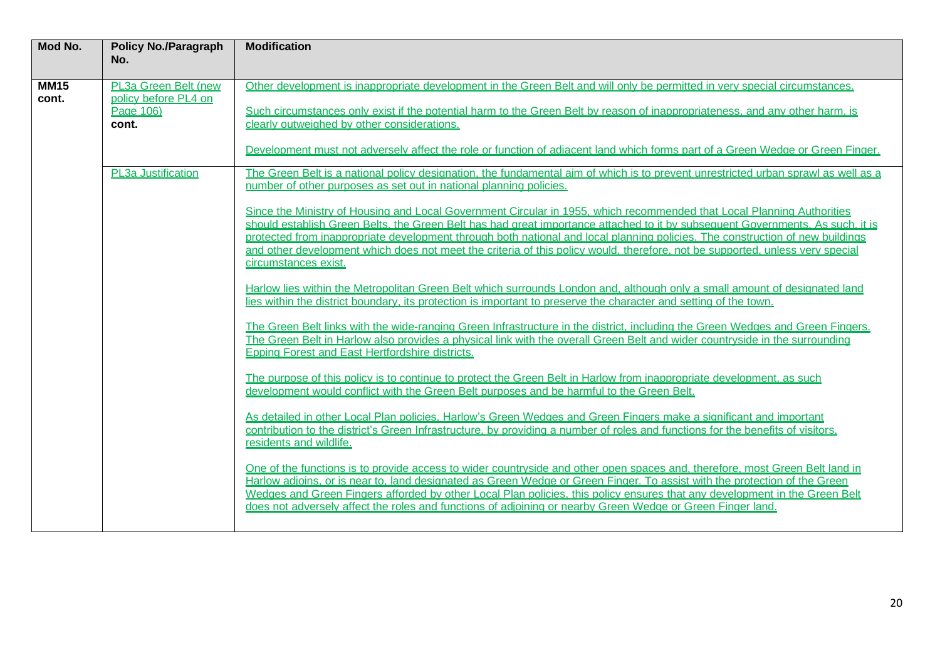| Mod No.              | <b>Policy No./Paragraph</b><br>No.                                 | <b>Modification</b>                                                                                                                                                                                                                                                                                                                                                                                                                                                                                                                                |
|----------------------|--------------------------------------------------------------------|----------------------------------------------------------------------------------------------------------------------------------------------------------------------------------------------------------------------------------------------------------------------------------------------------------------------------------------------------------------------------------------------------------------------------------------------------------------------------------------------------------------------------------------------------|
| <b>MM15</b><br>cont. | PL3a Green Belt (new<br>policy before PL4 on<br>Page 106)<br>cont. | Other development is inappropriate development in the Green Belt and will only be permitted in very special circumstances.<br>Such circumstances only exist if the potential harm to the Green Belt by reason of inappropriateness, and any other harm, is<br>clearly outweighed by other considerations.<br>Development must not adversely affect the role or function of adiacent land which forms part of a Green Wedge or Green Finger.                                                                                                        |
|                      | PL3a Justification                                                 | The Green Belt is a national policy designation, the fundamental aim of which is to prevent unrestricted urban sprawl as well as a<br>number of other purposes as set out in national planning policies.                                                                                                                                                                                                                                                                                                                                           |
|                      |                                                                    | Since the Ministry of Housing and Local Government Circular in 1955, which recommended that Local Planning Authorities<br>should establish Green Belts, the Green Belt has had great importance attached to it by subsequent Governments. As such, it is<br>protected from inappropriate development through both national and local planning policies. The construction of new buildings<br>and other development which does not meet the criteria of this policy would, therefore, not be supported, unless very special<br>circumstances exist. |
|                      |                                                                    | Harlow lies within the Metropolitan Green Belt which surrounds London and, although only a small amount of designated land<br>lies within the district boundary, its protection is important to preserve the character and setting of the town.                                                                                                                                                                                                                                                                                                    |
|                      |                                                                    | The Green Belt links with the wide-ranging Green Infrastructure in the district, including the Green Wedges and Green Fingers.<br>The Green Belt in Harlow also provides a physical link with the overall Green Belt and wider countryside in the surrounding<br><b>Epping Forest and East Hertfordshire districts.</b>                                                                                                                                                                                                                            |
|                      |                                                                    | The purpose of this policy is to continue to protect the Green Belt in Harlow from inappropriate development, as such<br>development would conflict with the Green Belt purposes and be harmful to the Green Belt.                                                                                                                                                                                                                                                                                                                                 |
|                      |                                                                    | As detailed in other Local Plan policies. Harlow's Green Wedges and Green Fingers make a significant and important<br>contribution to the district's Green Infrastructure, by providing a number of roles and functions for the benefits of visitors,<br>residents and wildlife.                                                                                                                                                                                                                                                                   |
|                      |                                                                    | One of the functions is to provide access to wider countryside and other open spaces and, therefore, most Green Belt land in<br>Harlow adjoins, or is near to, land designated as Green Wedge or Green Finger. To assist with the protection of the Green<br>Wedges and Green Fingers afforded by other Local Plan policies, this policy ensures that any development in the Green Belt<br>does not adversely affect the roles and functions of adjoining or nearby Green Wedge or Green Finger land.                                              |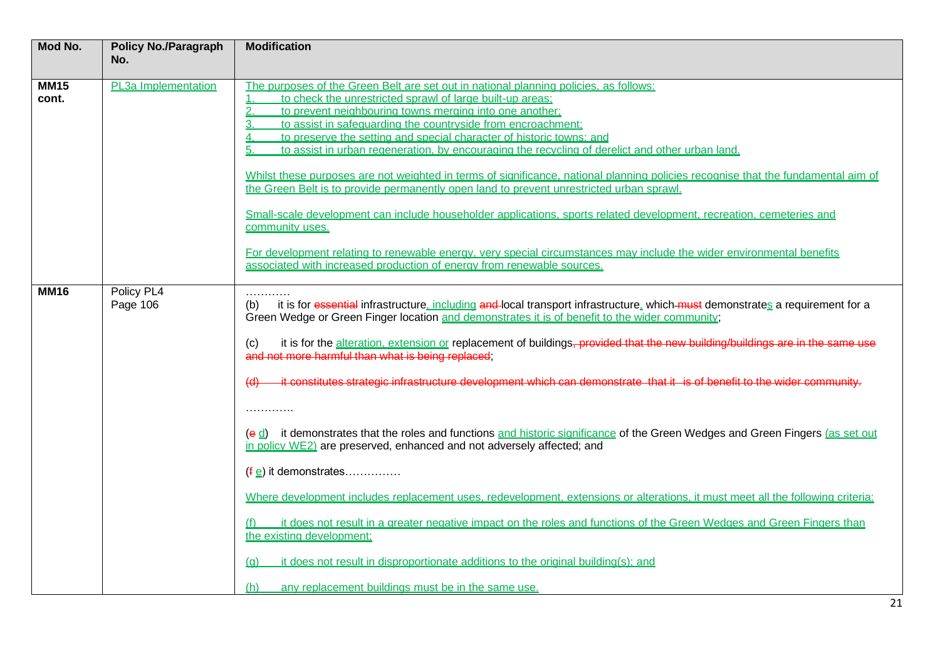| Mod No.              | <b>Policy No./Paragraph</b> | <b>Modification</b>                                                                                                                                                                                                                                                                                                                                                                                                                                                                                                                                                                                                                                                                                                                                                                                                                                                                                                                                                                                                                                                                                                                                                                                                                                                |
|----------------------|-----------------------------|--------------------------------------------------------------------------------------------------------------------------------------------------------------------------------------------------------------------------------------------------------------------------------------------------------------------------------------------------------------------------------------------------------------------------------------------------------------------------------------------------------------------------------------------------------------------------------------------------------------------------------------------------------------------------------------------------------------------------------------------------------------------------------------------------------------------------------------------------------------------------------------------------------------------------------------------------------------------------------------------------------------------------------------------------------------------------------------------------------------------------------------------------------------------------------------------------------------------------------------------------------------------|
|                      | No.                         |                                                                                                                                                                                                                                                                                                                                                                                                                                                                                                                                                                                                                                                                                                                                                                                                                                                                                                                                                                                                                                                                                                                                                                                                                                                                    |
| <b>MM15</b><br>cont. | PL3a Implementation         | The purposes of the Green Belt are set out in national planning policies, as follows:<br>to check the unrestricted sprawl of large built-up areas:<br>1<br>$\overline{2}$<br>to prevent neighbouring towns merging into one another;<br>to assist in safequarding the countryside from encroachment;<br>3.<br>to preserve the setting and special character of historic towns; and<br>4<br>to assist in urban regeneration, by encouraging the recycling of derelict and other urban land.<br>Whilst these purposes are not weighted in terms of significance, national planning policies recognise that the fundamental aim of<br>the Green Belt is to provide permanently open land to prevent unrestricted urban sprawl.<br>Small-scale development can include householder applications, sports related development, recreation, cemeteries and<br>community uses.<br>For development relating to renewable energy, very special circumstances may include the wider environmental benefits<br>associated with increased production of energy from renewable sources.                                                                                                                                                                                          |
| <b>MM16</b>          | Policy PL4<br>Page 106      | .<br>it is for essential infrastructure, including and-local transport infrastructure, which must demonstrates a requirement for a<br>(b)<br>Green Wedge or Green Finger location and demonstrates it is of benefit to the wider community;<br>it is for the alteration, extension or replacement of buildings, provided that the new building/buildings are in the same use<br>(c)<br>and not more harmful than what is being replaced;<br>it constitutes strategic infrastructure development which can demonstrate that it is of benefit to the wider community.<br>.<br>(e d) it demonstrates that the roles and functions and historic significance of the Green Wedges and Green Fingers (as set out<br>in policy WE2) are preserved, enhanced and not adversely affected; and<br>$(\frac{f}{g})$ it demonstrates<br>Where development includes replacement uses, redevelopment, extensions or alterations, it must meet all the following criteria;<br>it does not result in a greater negative impact on the roles and functions of the Green Wedges and Green Fingers than<br>the existing development:<br>it does not result in disproportionate additions to the original building(s); and<br>(a)<br>any replacement buildings must be in the same use. |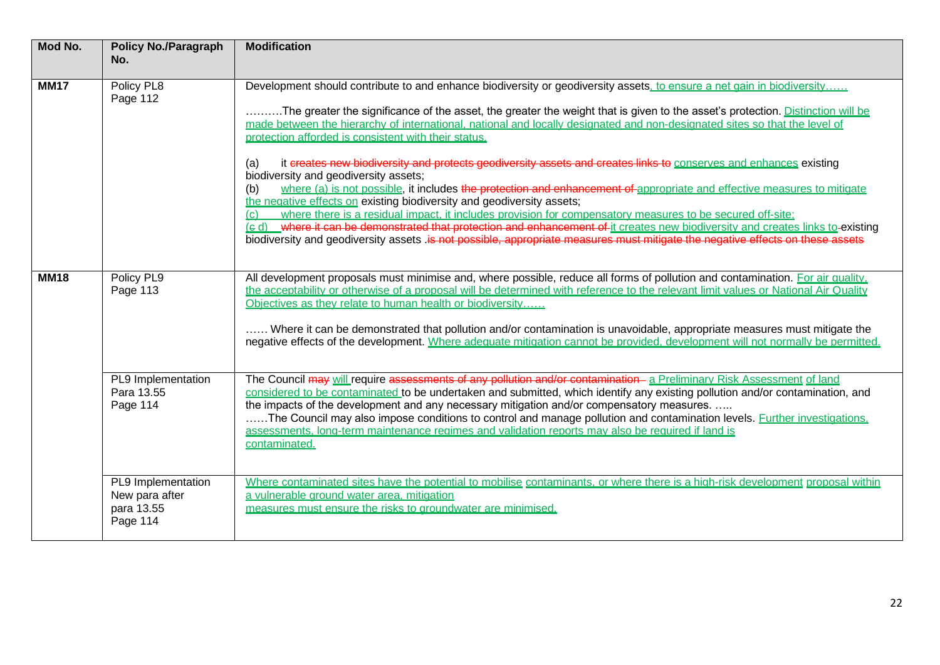| Mod No.     | <b>Policy No./Paragraph</b><br>No.                         | <b>Modification</b>                                                                                                                                                                                                                                                                                                                                                                                                                                                                                                                                                                                                                                                                                                                                                                                                                                                                                                                                                                                                                                                                                                                                                                                                     |
|-------------|------------------------------------------------------------|-------------------------------------------------------------------------------------------------------------------------------------------------------------------------------------------------------------------------------------------------------------------------------------------------------------------------------------------------------------------------------------------------------------------------------------------------------------------------------------------------------------------------------------------------------------------------------------------------------------------------------------------------------------------------------------------------------------------------------------------------------------------------------------------------------------------------------------------------------------------------------------------------------------------------------------------------------------------------------------------------------------------------------------------------------------------------------------------------------------------------------------------------------------------------------------------------------------------------|
| <b>MM17</b> | Policy PL8<br>Page 112                                     | Development should contribute to and enhance biodiversity or geodiversity assets, to ensure a net gain in biodiversity<br>The greater the significance of the asset, the greater the weight that is given to the asset's protection. Distinction will be<br>made between the hierarchy of international, national and locally designated and non-designated sites so that the level of<br>protection afforded is consistent with their status.<br>it creates new biodiversity and protects geodiversity assets and creates links to conserves and enhances existing<br>(a)<br>biodiversity and geodiversity assets;<br>where (a) is not possible, it includes the protection and enhancement of appropriate and effective measures to mitigate<br>(b)<br>the negative effects on existing biodiversity and geodiversity assets;<br>where there is a residual impact, it includes provision for compensatory measures to be secured off-site;<br>(c)<br>(e d) where it can be demonstrated that protection and enhancement of it creates new biodiversity and creates links to-existing<br>biodiversity and geodiversity assets is not possible, appropriate measures must mitigate the negative effects on these assets |
| <b>MM18</b> | Policy PL9<br>Page 113<br>PL9 Implementation<br>Para 13.55 | All development proposals must minimise and, where possible, reduce all forms of pollution and contamination. For air quality,<br>the acceptability or otherwise of a proposal will be determined with reference to the relevant limit values or National Air Quality<br>Objectives as they relate to human health or biodiversity<br>Where it can be demonstrated that pollution and/or contamination is unavoidable, appropriate measures must mitigate the<br>negative effects of the development. Where adequate mitigation cannot be provided, development will not normally be permitted.<br>The Council may will require assessments of any pollution and/or contamination- a Preliminary Risk Assessment of land<br>considered to be contaminated to be undertaken and submitted, which identify any existing pollution and/or contamination, and                                                                                                                                                                                                                                                                                                                                                               |
|             | Page 114<br>PL9 Implementation                             | the impacts of the development and any necessary mitigation and/or compensatory measures.<br>The Council may also impose conditions to control and manage pollution and contamination levels. Further investigations,<br>assessments, long-term maintenance regimes and validation reports may also be required if land is<br>contaminated.<br>Where contaminated sites have the potential to mobilise contaminants, or where there is a high-risk development proposal within                                                                                                                                                                                                                                                                                                                                                                                                                                                                                                                                                                                                                                                                                                                                          |
|             | New para after<br>para 13.55<br>Page 114                   | a vulnerable ground water area, mitigation<br>measures must ensure the risks to groundwater are minimised.                                                                                                                                                                                                                                                                                                                                                                                                                                                                                                                                                                                                                                                                                                                                                                                                                                                                                                                                                                                                                                                                                                              |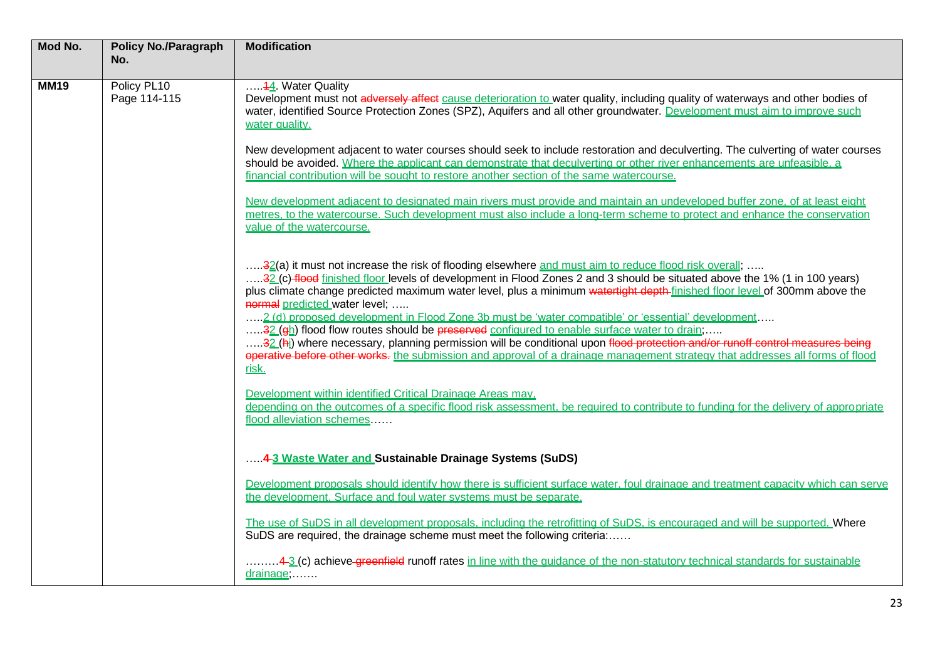| Mod No.     | <b>Policy No./Paragraph</b><br>No. | <b>Modification</b>                                                                                                                                                                                                                                                                                                                                                                                                                                                                                                                                                                                                                                                                                                                                                                                                                                                          |
|-------------|------------------------------------|------------------------------------------------------------------------------------------------------------------------------------------------------------------------------------------------------------------------------------------------------------------------------------------------------------------------------------------------------------------------------------------------------------------------------------------------------------------------------------------------------------------------------------------------------------------------------------------------------------------------------------------------------------------------------------------------------------------------------------------------------------------------------------------------------------------------------------------------------------------------------|
| <b>MM19</b> | Policy PL10<br>Page 114-115        | 44 Water Quality<br>Development must not adversely affect cause deterioration to water quality, including quality of waterways and other bodies of<br>water, identified Source Protection Zones (SPZ), Aquifers and all other groundwater. Development must aim to improve such<br>water quality.<br>New development adjacent to water courses should seek to include restoration and deculverting. The culverting of water courses                                                                                                                                                                                                                                                                                                                                                                                                                                          |
|             |                                    | should be avoided. Where the applicant can demonstrate that deculverting or other river enhancements are unfeasible, a<br>financial contribution will be sought to restore another section of the same watercourse.                                                                                                                                                                                                                                                                                                                                                                                                                                                                                                                                                                                                                                                          |
|             |                                    | New development adiacent to designated main rivers must provide and maintain an undeveloped buffer zone, of at least eight<br>metres, to the watercourse. Such development must also include a long-term scheme to protect and enhance the conservation<br>value of the watercourse.                                                                                                                                                                                                                                                                                                                                                                                                                                                                                                                                                                                         |
|             |                                    | 32(a) it must not increase the risk of flooding elsewhere and must aim to reduce flood risk overall;<br>32 (c) flood finished floor levels of development in Flood Zones 2 and 3 should be situated above the 1% (1 in 100 years)<br>plus climate change predicted maximum water level, plus a minimum watertight depth-finished floor level of 300mm above the<br>normal predicted water level;<br>2 (d) proposed development in Flood Zone 3b must be 'water compatible' or 'essential' development<br>32 (eh) flood flow routes should be preserved configured to enable surface water to drain;<br>32 (hi) where necessary, planning permission will be conditional upon flood protection and/or runoff control measures being<br>operative before other works, the submission and approval of a drainage management strategy that addresses all forms of flood<br>risk. |
|             |                                    | Development within identified Critical Drainage Areas may.<br>depending on the outcomes of a specific flood risk assessment, be required to contribute to funding for the delivery of appropriate<br>flood alleviation schemes                                                                                                                                                                                                                                                                                                                                                                                                                                                                                                                                                                                                                                               |
|             |                                    | 4-3 Waste Water and Sustainable Drainage Systems (SuDS)                                                                                                                                                                                                                                                                                                                                                                                                                                                                                                                                                                                                                                                                                                                                                                                                                      |
|             |                                    | Development proposals should identify how there is sufficient surface water, foul drainage and treatment capacity which can serve<br>the development. Surface and foul water systems must be separate.                                                                                                                                                                                                                                                                                                                                                                                                                                                                                                                                                                                                                                                                       |
|             |                                    | The use of SuDS in all development proposals, including the retrofitting of SuDS, is encouraged and will be supported. Where<br>SuDS are required, the drainage scheme must meet the following criteria:                                                                                                                                                                                                                                                                                                                                                                                                                                                                                                                                                                                                                                                                     |
|             |                                    | 4-3 (c) achieve greenfield runoff rates in line with the quidance of the non-statutory technical standards for sustainable<br>drainage,                                                                                                                                                                                                                                                                                                                                                                                                                                                                                                                                                                                                                                                                                                                                      |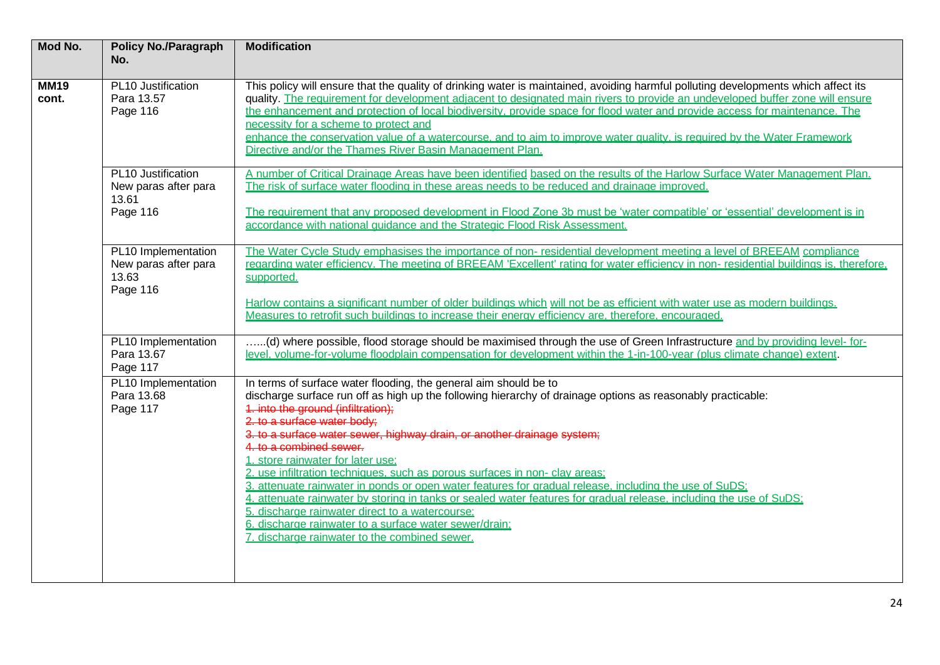| Mod No.              | <b>Policy No./Paragraph</b><br>No.                               | <b>Modification</b>                                                                                                                                                                                                                                                                                                                                                                                                                                                                                                                                                                                                                                                                                                                                                                                                                                                           |
|----------------------|------------------------------------------------------------------|-------------------------------------------------------------------------------------------------------------------------------------------------------------------------------------------------------------------------------------------------------------------------------------------------------------------------------------------------------------------------------------------------------------------------------------------------------------------------------------------------------------------------------------------------------------------------------------------------------------------------------------------------------------------------------------------------------------------------------------------------------------------------------------------------------------------------------------------------------------------------------|
| <b>MM19</b><br>cont. | PL10 Justification<br>Para 13.57<br>Page 116                     | This policy will ensure that the quality of drinking water is maintained, avoiding harmful polluting developments which affect its<br>quality. The requirement for development adiacent to designated main rivers to provide an undeveloped buffer zone will ensure<br>the enhancement and protection of local biodiversity, provide space for flood water and provide access for maintenance. The<br>necessity for a scheme to protect and<br>enhance the conservation value of a watercourse, and to aim to improve water quality, is required by the Water Framework<br>Directive and/or the Thames River Basin Management Plan.                                                                                                                                                                                                                                           |
|                      | PL10 Justification<br>New paras after para<br>13.61<br>Page 116  | A number of Critical Drainage Areas have been identified based on the results of the Harlow Surface Water Management Plan.<br>The risk of surface water flooding in these areas needs to be reduced and drainage improved.<br>The requirement that any proposed development in Flood Zone 3b must be 'water compatible' or 'essential' development is in                                                                                                                                                                                                                                                                                                                                                                                                                                                                                                                      |
|                      |                                                                  | accordance with national guidance and the Strategic Flood Risk Assessment.                                                                                                                                                                                                                                                                                                                                                                                                                                                                                                                                                                                                                                                                                                                                                                                                    |
|                      | PL10 Implementation<br>New paras after para<br>13.63<br>Page 116 | The Water Cycle Study emphasises the importance of non-residential development meeting a level of BREEAM compliance<br>regarding water efficiency. The meeting of BREEAM 'Excellent' rating for water efficiency in non-residential buildings is, therefore,<br>supported.                                                                                                                                                                                                                                                                                                                                                                                                                                                                                                                                                                                                    |
|                      |                                                                  | Harlow contains a significant number of older buildings which will not be as efficient with water use as modern buildings.<br>Measures to retrofit such buildings to increase their energy efficiency are, therefore, encouraged.                                                                                                                                                                                                                                                                                                                                                                                                                                                                                                                                                                                                                                             |
|                      | PL10 Implementation<br>Para 13.67<br>Page 117                    | (d) where possible, flood storage should be maximised through the use of Green Infrastructure and by providing level-for-<br>level, volume-for-volume floodplain compensation for development within the 1-in-100-year (plus climate change) extent.                                                                                                                                                                                                                                                                                                                                                                                                                                                                                                                                                                                                                          |
|                      | PL10 Implementation<br>Para 13.68<br>Page 117                    | In terms of surface water flooding, the general aim should be to<br>discharge surface run off as high up the following hierarchy of drainage options as reasonably practicable:<br>4. into the ground (infiltration);<br>2. to a surface water body;<br>3. to a surface water sewer, highway drain, or another drainage system;<br>4. to a combined sewer.<br>1. store rainwater for later use:<br>2. use infiltration techniques, such as porous surfaces in non- clay areas:<br>3. attenuate rainwater in ponds or open water features for gradual release, including the use of SuDS;<br>4. attenuate rainwater by storing in tanks or sealed water features for gradual release, including the use of SuDS;<br>5. discharge rainwater direct to a watercourse;<br>6. discharge rainwater to a surface water sewer/drain;<br>7. discharge rainwater to the combined sewer. |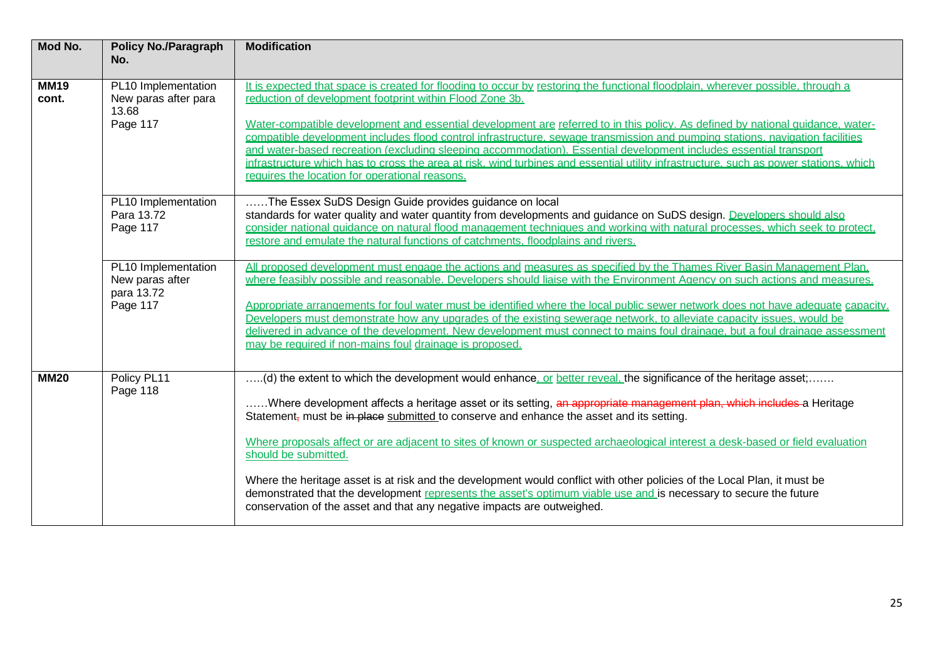| Mod No.              | <b>Policy No./Paragraph</b><br>No.                               | <b>Modification</b>                                                                                                                                                                                                                                                                                                                                                                                                                                                                                                                                                                                                                                                                                                                                                                                                                    |
|----------------------|------------------------------------------------------------------|----------------------------------------------------------------------------------------------------------------------------------------------------------------------------------------------------------------------------------------------------------------------------------------------------------------------------------------------------------------------------------------------------------------------------------------------------------------------------------------------------------------------------------------------------------------------------------------------------------------------------------------------------------------------------------------------------------------------------------------------------------------------------------------------------------------------------------------|
| <b>MM19</b><br>cont. | PL10 Implementation<br>New paras after para<br>13.68<br>Page 117 | It is expected that space is created for flooding to occur by restoring the functional floodplain, wherever possible, through a<br>reduction of development footprint within Flood Zone 3b.<br>Water-compatible development and essential development are referred to in this policy. As defined by national quidance, water-<br>compatible development includes flood control infrastructure, sewage transmission and pumping stations, navigation facilities<br>and water-based recreation (excluding sleeping accommodation). Essential development includes essential transport<br>infrastructure which has to cross the area at risk, wind turbines and essential utility infrastructure, such as power stations, which<br>requires the location for operational reasons.                                                         |
|                      | PL10 Implementation<br>Para 13.72<br>Page 117                    | The Essex SuDS Design Guide provides guidance on local<br>standards for water quality and water quantity from developments and guidance on SuDS design. Developers should also<br>consider national quidance on natural flood management techniques and working with natural processes, which seek to protect,<br>restore and emulate the natural functions of catchments, floodplains and rivers.                                                                                                                                                                                                                                                                                                                                                                                                                                     |
|                      | PL10 Implementation<br>New paras after<br>para 13.72<br>Page 117 | All proposed development must engage the actions and measures as specified by the Thames River Basin Management Plan.<br>where feasibly possible and reasonable. Developers should liaise with the Environment Agency on such actions and measures.<br>Appropriate arrangements for foul water must be identified where the local public sewer network does not have adequate capacity.<br>Developers must demonstrate how any upgrades of the existing sewerage network, to alleviate capacity issues, would be<br>delivered in advance of the development. New development must connect to mains foul drainage, but a foul drainage assessment<br>may be required if non-mains foul drainage is proposed.                                                                                                                            |
| <b>MM20</b>          | Policy PL11<br>Page 118                                          | (d) the extent to which the development would enhance, or better reveal, the significance of the heritage asset;<br>Where development affects a heritage asset or its setting, an appropriate management plan, which includes a Heritage<br>Statement <sub>r</sub> must be in place submitted to conserve and enhance the asset and its setting.<br>Where proposals affect or are adjacent to sites of known or suspected archaeological interest a desk-based or field evaluation<br>should be submitted.<br>Where the heritage asset is at risk and the development would conflict with other policies of the Local Plan, it must be<br>demonstrated that the development represents the asset's optimum viable use and is necessary to secure the future<br>conservation of the asset and that any negative impacts are outweighed. |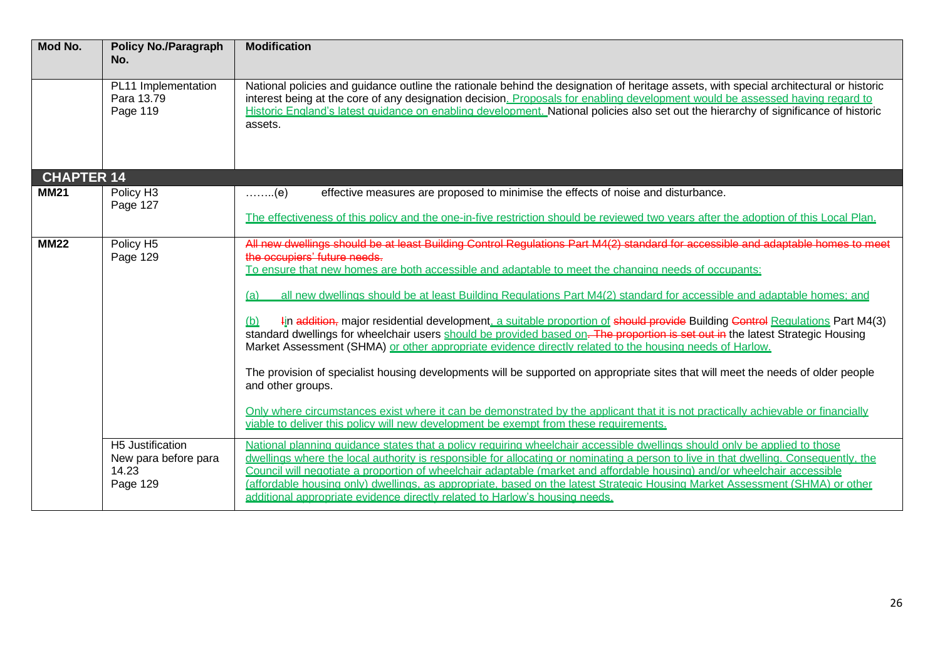| Mod No.           | <b>Policy No./Paragraph</b><br>No.                            | <b>Modification</b>                                                                                                                                                                                                                                                                                                                                                                                                                                                                                                                                                                                                                                                                                                                                                                                                                                                                                                                                                                                                                                                                                                                                                                |
|-------------------|---------------------------------------------------------------|------------------------------------------------------------------------------------------------------------------------------------------------------------------------------------------------------------------------------------------------------------------------------------------------------------------------------------------------------------------------------------------------------------------------------------------------------------------------------------------------------------------------------------------------------------------------------------------------------------------------------------------------------------------------------------------------------------------------------------------------------------------------------------------------------------------------------------------------------------------------------------------------------------------------------------------------------------------------------------------------------------------------------------------------------------------------------------------------------------------------------------------------------------------------------------|
|                   | PL11 Implementation<br>Para 13.79<br>Page 119                 | National policies and guidance outline the rationale behind the designation of heritage assets, with special architectural or historic<br>interest being at the core of any designation decision. Proposals for enabling development would be assessed having regard to<br>Historic England's latest quidance on enabling development. National policies also set out the hierarchy of significance of historic<br>assets.                                                                                                                                                                                                                                                                                                                                                                                                                                                                                                                                                                                                                                                                                                                                                         |
| <b>CHAPTER 14</b> |                                                               |                                                                                                                                                                                                                                                                                                                                                                                                                                                                                                                                                                                                                                                                                                                                                                                                                                                                                                                                                                                                                                                                                                                                                                                    |
| <b>MM21</b>       | Policy H <sub>3</sub><br>Page 127                             | effective measures are proposed to minimise the effects of noise and disturbance.<br>$\ldots$ $(e)$<br>The effectiveness of this policy and the one-in-five restriction should be reviewed two vears after the adoption of this Local Plan.                                                                                                                                                                                                                                                                                                                                                                                                                                                                                                                                                                                                                                                                                                                                                                                                                                                                                                                                        |
| <b>MM22</b>       | Policy H5<br>Page 129                                         | All new dwellings should be at least Building Control Regulations Part M4(2) standard for accessible and adaptable homes to meet<br>the occupiers' future needs.<br>To ensure that new homes are both accessible and adaptable to meet the changing needs of occupants:<br>all new dwellings should be at least Building Regulations Part M4(2) standard for accessible and adaptable homes: and<br>(a)<br>4in addition, major residential development, a suitable proportion of should provide Building Control Requiations Part M4(3)<br>(b)<br>standard dwellings for wheelchair users should be provided based on. The proportion is set out in the latest Strategic Housing<br>Market Assessment (SHMA) or other appropriate evidence directly related to the housing needs of Harlow.<br>The provision of specialist housing developments will be supported on appropriate sites that will meet the needs of older people<br>and other groups.<br>Only where circumstances exist where it can be demonstrated by the applicant that it is not practically achievable or financially<br>viable to deliver this policy will new development be exempt from these requirements. |
|                   | H5 Justification<br>New para before para<br>14.23<br>Page 129 | National planning quidance states that a policy requiring wheelchair accessible dwellings should only be applied to those<br>dwellings where the local authority is responsible for allocating or nominating a person to live in that dwelling. Consequently, the<br>Council will negotiate a proportion of wheelchair adaptable (market and affordable housing) and/or wheelchair accessible<br>(affordable housing only) dwellings, as appropriate, based on the latest Strategic Housing Market Assessment (SHMA) or other<br>additional appropriate evidence directly related to Harlow's housing needs.                                                                                                                                                                                                                                                                                                                                                                                                                                                                                                                                                                       |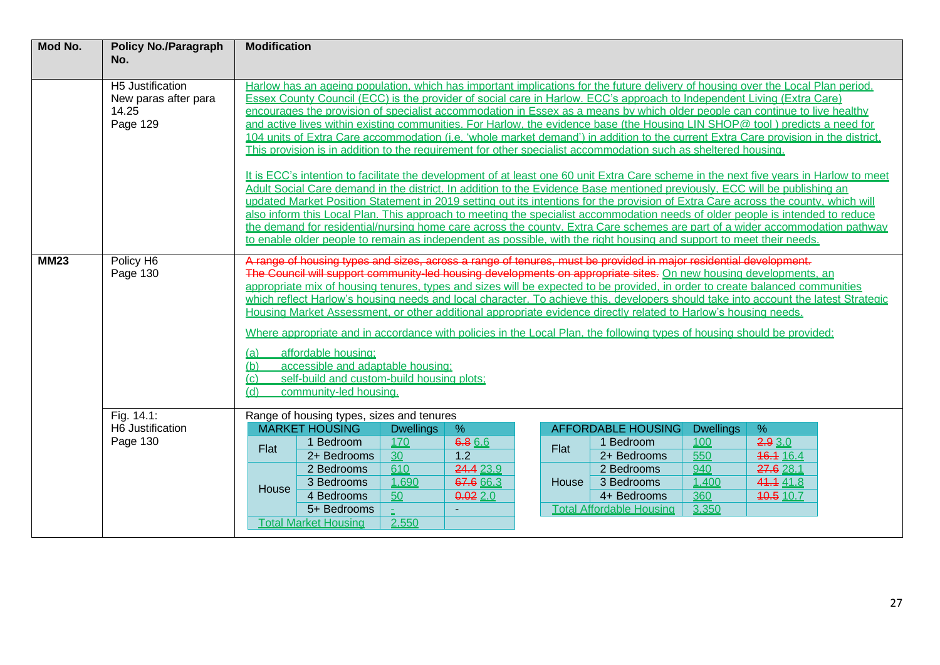| Mod No.     | <b>Policy No./Paragraph</b><br>No.                            | <b>Modification</b>                                                                                                                                                                                                                                                                                                                                                                                                                                                                                                                                                                                                                                                                                                                                                                                                                                                                                                                                                                                                                                                                                                                                                                                                                                                                                                                                                                                                                                                                                                                                                                        |                                                                                                                                                         |                                                                  |                                                          |  |               |                                                                                                                                     |                                                                |                                                                        |  |
|-------------|---------------------------------------------------------------|--------------------------------------------------------------------------------------------------------------------------------------------------------------------------------------------------------------------------------------------------------------------------------------------------------------------------------------------------------------------------------------------------------------------------------------------------------------------------------------------------------------------------------------------------------------------------------------------------------------------------------------------------------------------------------------------------------------------------------------------------------------------------------------------------------------------------------------------------------------------------------------------------------------------------------------------------------------------------------------------------------------------------------------------------------------------------------------------------------------------------------------------------------------------------------------------------------------------------------------------------------------------------------------------------------------------------------------------------------------------------------------------------------------------------------------------------------------------------------------------------------------------------------------------------------------------------------------------|---------------------------------------------------------------------------------------------------------------------------------------------------------|------------------------------------------------------------------|----------------------------------------------------------|--|---------------|-------------------------------------------------------------------------------------------------------------------------------------|----------------------------------------------------------------|------------------------------------------------------------------------|--|
|             | H5 Justification<br>New paras after para<br>14.25<br>Page 129 | Harlow has an ageing population, which has important implications for the future delivery of housing over the Local Plan period.<br>Essex County Council (ECC) is the provider of social care in Harlow. ECC's approach to Independent Living (Extra Care)<br>encourages the provision of specialist accommodation in Essex as a means by which older people can continue to live healthy<br>and active lives within existing communities. For Harlow, the evidence base (the Housing LIN SHOP@ tool) predicts a need for<br>104 units of Extra Care accommodation (i.e. 'whole market demand') in addition to the current Extra Care provision in the district.<br>This provision is in addition to the requirement for other specialist accommodation such as sheltered housing.<br>It is ECC's intention to facilitate the development of at least one 60 unit Extra Care scheme in the next five years in Harlow to meet<br>Adult Social Care demand in the district. In addition to the Evidence Base mentioned previously. ECC will be publishing an<br>updated Market Position Statement in 2019 setting out its intentions for the provision of Extra Care across the county, which will<br>also inform this Local Plan. This approach to meeting the specialist accommodation needs of older people is intended to reduce<br>the demand for residential/nursing home care across the county. Extra Care schemes are part of a wider accommodation pathway<br>to enable older people to remain as independent as possible, with the right housing and support to meet their needs. |                                                                                                                                                         |                                                                  |                                                          |  |               |                                                                                                                                     |                                                                |                                                                        |  |
| <b>MM23</b> | Policy H6<br>Page 130                                         | A range of housing types and sizes, across a range of tenures, must be provided in major residential development.<br>The Council will support community-led housing developments on appropriate sites. On new housing developments, an<br>appropriate mix of housing tenures, types and sizes will be expected to be provided, in order to create balanced communities<br>which reflect Harlow's housing needs and local character. To achieve this, developers should take into account the latest Strategic<br>Housing Market Assessment, or other additional appropriate evidence directly related to Harlow's housing needs.<br>Where appropriate and in accordance with policies in the Local Plan, the following types of housing should be provided;<br>affordable housing:<br>(a)<br>accessible and adaptable housing;<br>(b)<br>self-build and custom-build housing plots:<br>(c)<br>community-led housing.<br>(d)                                                                                                                                                                                                                                                                                                                                                                                                                                                                                                                                                                                                                                                                |                                                                                                                                                         |                                                                  |                                                          |  |               |                                                                                                                                     |                                                                |                                                                        |  |
|             | Fig. 14.1:<br>H6 Justification<br>Page 130                    | Flat<br>House                                                                                                                                                                                                                                                                                                                                                                                                                                                                                                                                                                                                                                                                                                                                                                                                                                                                                                                                                                                                                                                                                                                                                                                                                                                                                                                                                                                                                                                                                                                                                                              | Range of housing types, sizes and tenures<br><b>MARKET HOUSING</b><br>1 Bedroom<br>2+ Bedrooms<br>2 Bedrooms<br>3 Bedrooms<br>4 Bedrooms<br>5+ Bedrooms | <b>Dwellings</b><br>170<br>$\overline{30}$<br>610<br>1,690<br>50 | %<br>6.8 6.6<br>1.2<br>24.4 23.9<br>67.6 66.3<br>0.022.0 |  | Flat<br>House | <b>AFFORDABLE HOUSING</b><br>1 Bedroom<br>2+ Bedrooms<br>2 Bedrooms<br>3 Bedrooms<br>4+ Bedrooms<br><b>Total Affordable Housing</b> | <b>Dwellings</b><br>100<br>550<br>940<br>1,400<br>360<br>3,350 | %<br>2.93.0<br>16.1 16.4<br>27.6 28.1<br>41.4 41.8<br><b>40.5</b> 10.7 |  |
|             |                                                               | <b>Total Market Housing</b><br>2,550                                                                                                                                                                                                                                                                                                                                                                                                                                                                                                                                                                                                                                                                                                                                                                                                                                                                                                                                                                                                                                                                                                                                                                                                                                                                                                                                                                                                                                                                                                                                                       |                                                                                                                                                         |                                                                  |                                                          |  |               |                                                                                                                                     |                                                                |                                                                        |  |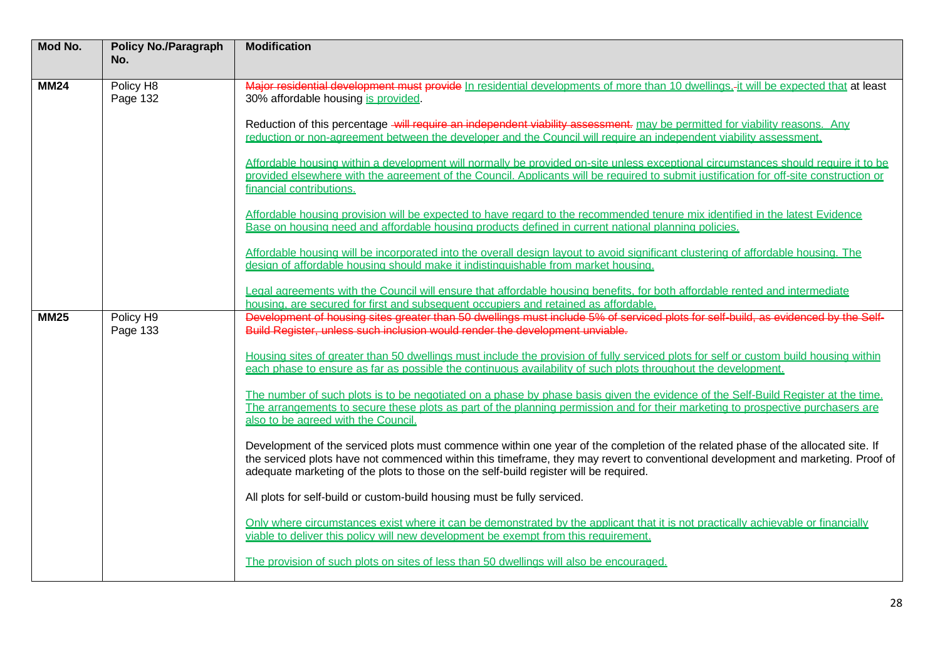| Mod No.     | <b>Policy No./Paragraph</b><br>No. | <b>Modification</b>                                                                                                                                                                                                                                                                                                                                           |
|-------------|------------------------------------|---------------------------------------------------------------------------------------------------------------------------------------------------------------------------------------------------------------------------------------------------------------------------------------------------------------------------------------------------------------|
| <b>MM24</b> | Policy H8<br>Page 132              | Major residential development must provide In residential developments of more than 10 dwellings.-it will be expected that at least<br>30% affordable housing is provided                                                                                                                                                                                     |
|             |                                    | Reduction of this percentage will require an independent viability assessment. may be permitted for viability reasons. Any<br>reduction or non-agreement between the developer and the Council will require an independent viability assessment.                                                                                                              |
|             |                                    | Affordable housing within a development will normally be provided on-site unless exceptional circumstances should require it to be<br>provided elsewhere with the agreement of the Council. Applicants will be required to submit justification for off-site construction or<br>financial contributions.                                                      |
|             |                                    | Affordable housing provision will be expected to have regard to the recommended tenure mix identified in the latest Evidence<br>Base on housing need and affordable housing products defined in current national planning policies.                                                                                                                           |
|             |                                    | Affordable housing will be incorporated into the overall design layout to avoid significant clustering of affordable housing. The<br>design of affordable housing should make it indistinguishable from market housing.                                                                                                                                       |
|             |                                    | Legal agreements with the Council will ensure that affordable housing benefits, for both affordable rented and intermediate<br>housing, are secured for first and subsequent occupiers and retained as affordable.                                                                                                                                            |
| <b>MM25</b> | Policy H9<br>Page 133              | Development of housing sites greater than 50 dwellings must include 5% of serviced plots for self-build, as evidenced by the Self-<br>Build Register, unless such inclusion would render the development unviable.                                                                                                                                            |
|             |                                    | Housing sites of greater than 50 dwellings must include the provision of fully serviced plots for self or custom build housing within<br>each phase to ensure as far as possible the continuous availability of such plots throughout the development.                                                                                                        |
|             |                                    | The number of such plots is to be negotiated on a phase by phase basis given the evidence of the Self-Build Register at the time.<br>The arrangements to secure these plots as part of the planning permission and for their marketing to prospective purchasers are<br>also to be agreed with the Council.                                                   |
|             |                                    | Development of the serviced plots must commence within one year of the completion of the related phase of the allocated site. If<br>the serviced plots have not commenced within this timeframe, they may revert to conventional development and marketing. Proof of<br>adequate marketing of the plots to those on the self-build register will be required. |
|             |                                    | All plots for self-build or custom-build housing must be fully serviced.                                                                                                                                                                                                                                                                                      |
|             |                                    | Only where circumstances exist where it can be demonstrated by the applicant that it is not practically achievable or financially<br>viable to deliver this policy will new development be exempt from this requirement.                                                                                                                                      |
|             |                                    | The provision of such plots on sites of less than 50 dwellings will also be encouraged.                                                                                                                                                                                                                                                                       |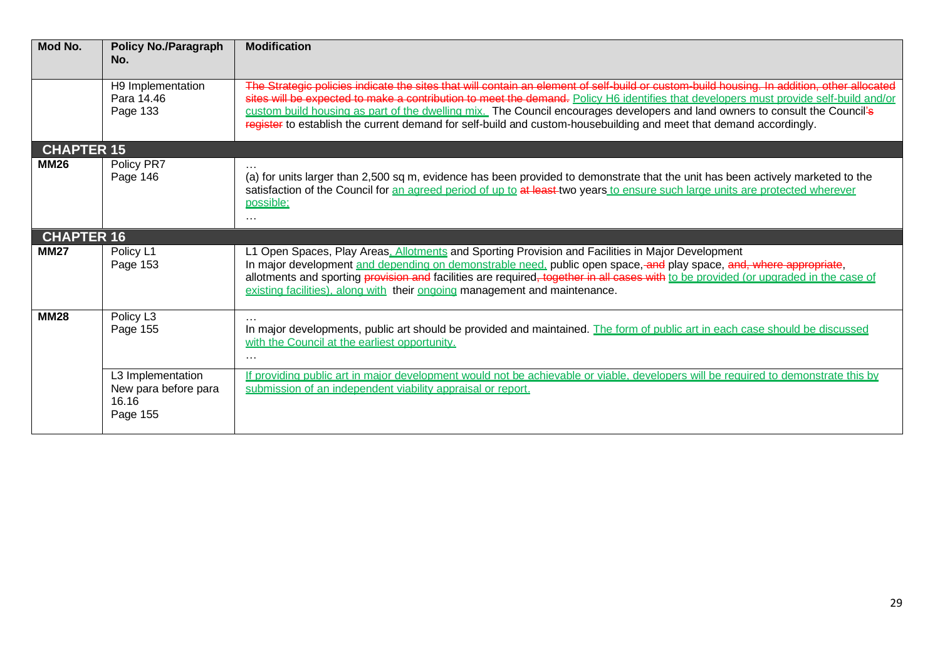| Mod No.           | <b>Policy No./Paragraph</b><br>No.                             | <b>Modification</b>                                                                                                                                                                                                                                                                                                                                                                                                                                                                                                                       |
|-------------------|----------------------------------------------------------------|-------------------------------------------------------------------------------------------------------------------------------------------------------------------------------------------------------------------------------------------------------------------------------------------------------------------------------------------------------------------------------------------------------------------------------------------------------------------------------------------------------------------------------------------|
|                   | H9 Implementation<br>Para 14.46<br>Page 133                    | The Strategic policies indicate the sites that will contain an element of self-build or custom-build housing. In addition, other allocated<br>sites will be expected to make a contribution to meet the demand. Policy H6 identifies that developers must provide self-build and/or<br>custom build housing as part of the dwelling mix. The Council encourages developers and land owners to consult the Council's<br>register to establish the current demand for self-build and custom-housebuilding and meet that demand accordingly. |
| <b>CHAPTER 15</b> |                                                                |                                                                                                                                                                                                                                                                                                                                                                                                                                                                                                                                           |
| <b>MM26</b>       | Policy PR7<br>Page 146                                         | (a) for units larger than 2,500 sq m, evidence has been provided to demonstrate that the unit has been actively marketed to the<br>satisfaction of the Council for an agreed period of up to at least-two years to ensure such large units are protected wherever<br>possible:<br>$\cdots$                                                                                                                                                                                                                                                |
| <b>CHAPTER 16</b> |                                                                |                                                                                                                                                                                                                                                                                                                                                                                                                                                                                                                                           |
| <b>MM27</b>       | Policy L1<br>Page 153                                          | L1 Open Spaces, Play Areas. Allotments and Sporting Provision and Facilities in Major Development<br>In major development and depending on demonstrable need, public open space, and play space, and, where appropriate,<br>allotments and sporting provision and facilities are required, together in all cases with to be provided (or upgraded in the case of<br>existing facilities), along with their ongoing management and maintenance.                                                                                            |
| <b>MM28</b>       | Policy L <sub>3</sub><br>Page 155                              | In major developments, public art should be provided and maintained. The form of public art in each case should be discussed<br>with the Council at the earliest opportunity.<br>$\cdots$                                                                                                                                                                                                                                                                                                                                                 |
|                   | L3 Implementation<br>New para before para<br>16.16<br>Page 155 | If providing public art in major development would not be achievable or viable, developers will be required to demonstrate this by<br>submission of an independent viability appraisal or report.                                                                                                                                                                                                                                                                                                                                         |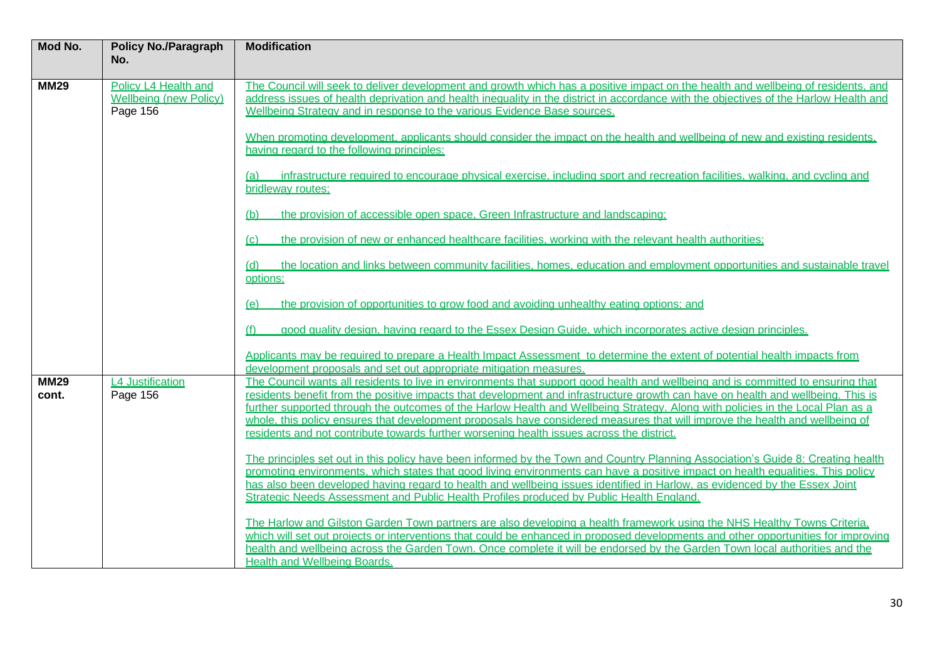| Mod No.              | <b>Policy No./Paragraph</b><br>No.                                | <b>Modification</b>                                                                                                                                                                                                                                                                                                                                                                                                                                                                                                                                                                                                                 |
|----------------------|-------------------------------------------------------------------|-------------------------------------------------------------------------------------------------------------------------------------------------------------------------------------------------------------------------------------------------------------------------------------------------------------------------------------------------------------------------------------------------------------------------------------------------------------------------------------------------------------------------------------------------------------------------------------------------------------------------------------|
| <b>MM29</b>          | Policy L4 Health and<br><b>Wellbeing (new Policy)</b><br>Page 156 | The Council will seek to deliver development and growth which has a positive impact on the health and wellbeing of residents, and<br>address issues of health deprivation and health inequality in the district in accordance with the objectives of the Harlow Health and<br>Wellbeing Strategy and in response to the various Evidence Base sources.                                                                                                                                                                                                                                                                              |
|                      |                                                                   | When promoting development, applicants should consider the impact on the health and wellbeing of new and existing residents,<br>having regard to the following principles:                                                                                                                                                                                                                                                                                                                                                                                                                                                          |
|                      |                                                                   | infrastructure required to encourage physical exercise, including sport and recreation facilities, walking, and cycling and<br>(a)<br>bridleway routes:                                                                                                                                                                                                                                                                                                                                                                                                                                                                             |
|                      |                                                                   | the provision of accessible open space, Green Infrastructure and landscaping;<br>(b)                                                                                                                                                                                                                                                                                                                                                                                                                                                                                                                                                |
|                      |                                                                   | the provision of new or enhanced healthcare facilities, working with the relevant health authorities;<br>(c)                                                                                                                                                                                                                                                                                                                                                                                                                                                                                                                        |
|                      |                                                                   | the location and links between community facilities, homes, education and employment opportunities and sustainable travel<br>(d)<br>options:                                                                                                                                                                                                                                                                                                                                                                                                                                                                                        |
|                      |                                                                   | the provision of opportunities to grow food and avoiding unhealthy eating options; and<br>(e)                                                                                                                                                                                                                                                                                                                                                                                                                                                                                                                                       |
|                      |                                                                   | good quality design, having regard to the Essex Design Guide, which incorporates active design principles.<br>(f)                                                                                                                                                                                                                                                                                                                                                                                                                                                                                                                   |
|                      |                                                                   | Applicants may be required to prepare a Health Impact Assessment to determine the extent of potential health impacts from<br>development proposals and set out appropriate mitigation measures.                                                                                                                                                                                                                                                                                                                                                                                                                                     |
| <b>MM29</b><br>cont. | <b>L4 Justification</b><br>Page 156                               | The Council wants all residents to live in environments that support good health and wellbeing and is committed to ensuring that<br>residents benefit from the positive impacts that development and infrastructure growth can have on health and wellbeing. This is<br>further supported through the outcomes of the Harlow Health and Wellbeing Strategy. Along with policies in the Local Plan as a<br>whole, this policy ensures that development proposals have considered measures that will improve the health and wellbeing of<br>residents and not contribute towards further worsening health issues across the district. |
|                      |                                                                   | The principles set out in this policy have been informed by the Town and Country Planning Association's Guide 8: Creating health<br>promoting environments, which states that good living environments can have a positive impact on health equalities. This policy<br>has also been developed having regard to health and wellbeing issues identified in Harlow, as evidenced by the Essex Joint<br>Strategic Needs Assessment and Public Health Profiles produced by Public Health England.                                                                                                                                       |
|                      |                                                                   | The Harlow and Gilston Garden Town partners are also developing a health framework using the NHS Healthy Towns Criteria,<br>which will set out projects or interventions that could be enhanced in proposed developments and other opportunities for improving<br>health and wellbeing across the Garden Town. Once complete it will be endorsed by the Garden Town local authorities and the<br><b>Health and Wellbeing Boards.</b>                                                                                                                                                                                                |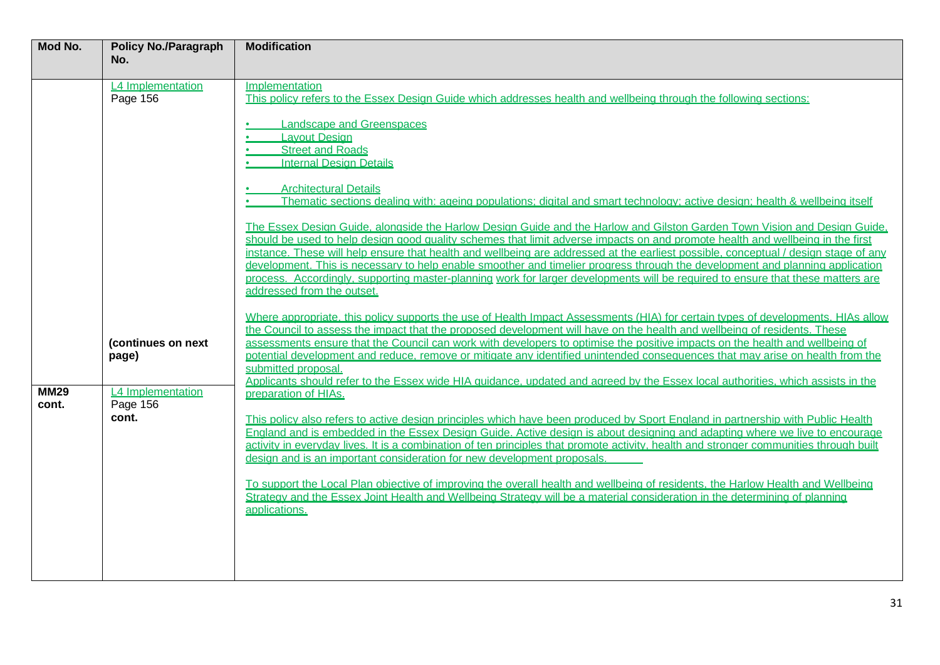| Mod No.              | <b>Policy No./Paragraph</b>            | <b>Modification</b>                                                                                                                                                                                                                                                                                                                                                                                                                                                                                                                                                                                                                                                                                  |
|----------------------|----------------------------------------|------------------------------------------------------------------------------------------------------------------------------------------------------------------------------------------------------------------------------------------------------------------------------------------------------------------------------------------------------------------------------------------------------------------------------------------------------------------------------------------------------------------------------------------------------------------------------------------------------------------------------------------------------------------------------------------------------|
|                      | No.                                    |                                                                                                                                                                                                                                                                                                                                                                                                                                                                                                                                                                                                                                                                                                      |
|                      | L4 Implementation<br>Page 156          | Implementation<br>This policy refers to the Essex Design Guide which addresses health and wellbeing through the following sections:<br>Landscape and Greenspaces<br><b>Layout Design</b><br><b>Street and Roads</b><br><b>Internal Design Details</b>                                                                                                                                                                                                                                                                                                                                                                                                                                                |
|                      |                                        | <b>Architectural Details</b><br>Thematic sections dealing with: ageing populations: digital and smart technology: active design: health & wellbeing itself                                                                                                                                                                                                                                                                                                                                                                                                                                                                                                                                           |
|                      |                                        | The Essex Design Guide, alongside the Harlow Design Guide and the Harlow and Gilston Garden Town Vision and Design Guide,<br>should be used to help design good quality schemes that limit adverse impacts on and promote health and wellbeing in the first<br>instance. These will help ensure that health and wellbeing are addressed at the earliest possible, conceptual / design stage of any<br>development. This is necessary to help enable smoother and timelier progress through the development and planning application<br>process. Accordinaly, supporting master-planning work for larger developments will be required to ensure that these matters are<br>addressed from the outset. |
|                      | (continues on next<br>page)            | Where appropriate, this policy supports the use of Health Impact Assessments (HIA) for certain types of developments. HIAs allow<br>the Council to assess the impact that the proposed development will have on the health and wellbeing of residents. These<br>assessments ensure that the Council can work with developers to optimise the positive impacts on the health and wellbeing of<br>potential development and reduce, remove or mitigate any identified unintended consequences that may arise on health from the<br>submitted proposal.<br>Applicants should refer to the Essex wide HIA guidance, updated and agreed by the Essex local authorities, which assists in the              |
| <b>MM29</b><br>cont. | L4 Implementation<br>Page 156<br>cont. | preparation of HIAs.<br>This policy also refers to active design principles which have been produced by Sport England in partnership with Public Health<br>England and is embedded in the Essex Design Guide. Active design is about designing and adapting where we live to encourage<br>activity in everyday lives. It is a combination of ten principles that promote activity, health and stronger communities through built<br>design and is an important consideration for new development proposals                                                                                                                                                                                           |
|                      |                                        | To support the Local Plan objective of improving the overall health and wellbeing of residents, the Harlow Health and Wellbeing<br>Strategy and the Essex Joint Health and Wellbeing Strategy will be a material consideration in the determining of planning<br>applications.                                                                                                                                                                                                                                                                                                                                                                                                                       |
|                      |                                        |                                                                                                                                                                                                                                                                                                                                                                                                                                                                                                                                                                                                                                                                                                      |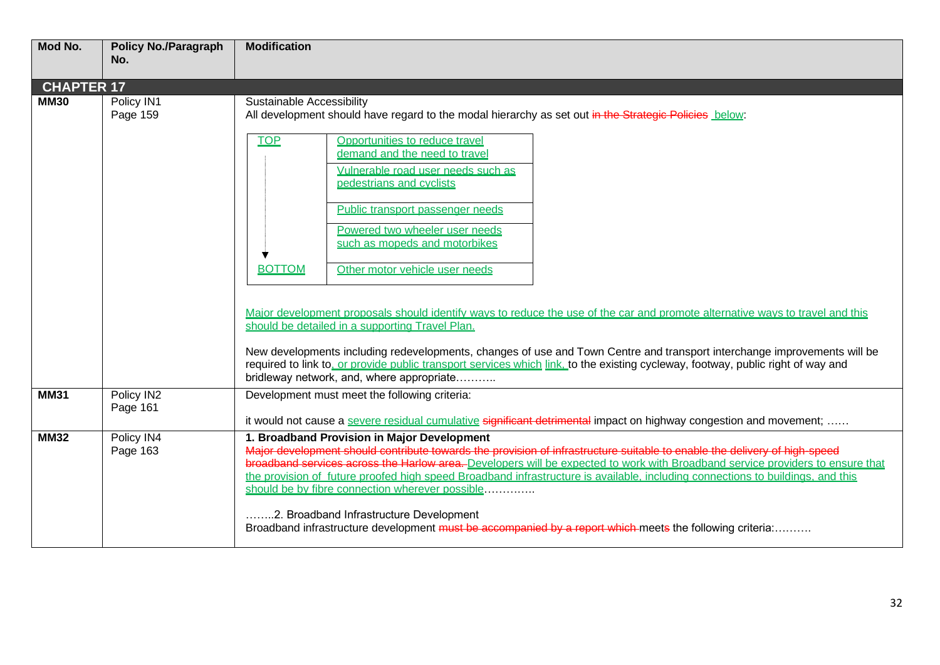| Mod No.           | <b>Policy No./Paragraph</b><br>No. | <b>Modification</b>                                                                                                                                                                                                                                                                                                                                                                                                                                                                                                                                                                                                                                     |
|-------------------|------------------------------------|---------------------------------------------------------------------------------------------------------------------------------------------------------------------------------------------------------------------------------------------------------------------------------------------------------------------------------------------------------------------------------------------------------------------------------------------------------------------------------------------------------------------------------------------------------------------------------------------------------------------------------------------------------|
| <b>CHAPTER 17</b> |                                    |                                                                                                                                                                                                                                                                                                                                                                                                                                                                                                                                                                                                                                                         |
| <b>MM30</b>       | Policy IN1<br>Page 159             | Sustainable Accessibility<br>All development should have regard to the modal hierarchy as set out in the Strategic Policies below:                                                                                                                                                                                                                                                                                                                                                                                                                                                                                                                      |
|                   |                                    | <b>TOP</b><br>Opportunities to reduce travel<br>demand and the need to travel<br>Vulnerable road user needs such as<br>pedestrians and cyclists<br>Public transport passenger needs<br>Powered two wheeler user needs<br>such as mopeds and motorbikes<br>Other motor vehicle user needs<br><b>BOTTOM</b>                                                                                                                                                                                                                                                                                                                                               |
|                   |                                    | Major development proposals should identify ways to reduce the use of the car and promote alternative ways to travel and this<br>should be detailed in a supporting Travel Plan.<br>New developments including redevelopments, changes of use and Town Centre and transport interchange improvements will be<br>required to link to, or provide public transport services which link, to the existing cycleway, footway, public right of way and<br>bridleway network, and, where appropriate                                                                                                                                                           |
| <b>MM31</b>       | Policy IN2<br>Page 161             | Development must meet the following criteria:<br>it would not cause a severe residual cumulative significant detrimental impact on highway congestion and movement;                                                                                                                                                                                                                                                                                                                                                                                                                                                                                     |
| <b>MM32</b>       | Policy IN4<br>Page 163             | 1. Broadband Provision in Major Development<br>Major development should contribute towards the provision of infrastructure suitable to enable the delivery of high-speed<br>broadband services across the Harlow area. Developers will be expected to work with Broadband service providers to ensure that<br>the provision of future proofed high speed Broadband infrastructure is available, including connections to buildings, and this<br>should be by fibre connection wherever possible<br>.2. Broadband Infrastructure Development<br>Broadband infrastructure development must be accompanied by a report which meets the following criteria: |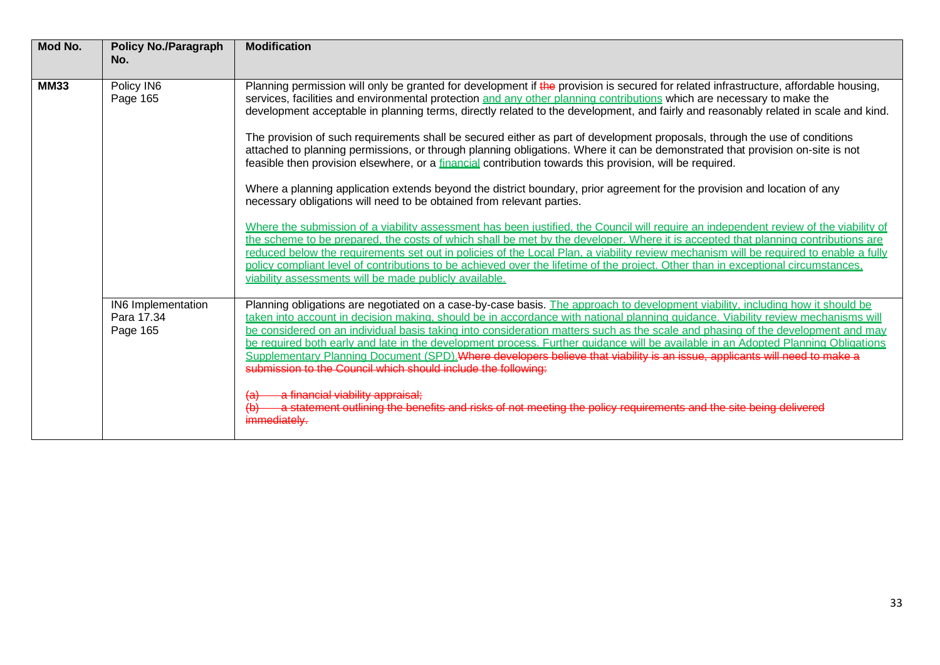| Mod No.     | <b>Policy No./Paragraph</b><br>No.           | <b>Modification</b>                                                                                                                                                                                                                                                                                                                                                                                                                                                                                                                                                                                                                                                                                                                                                                                                                                                                                                                                                                                                                                                                                                                                                                                                                                                                                                                                                                                                                                                                                                                                                                                         |
|-------------|----------------------------------------------|-------------------------------------------------------------------------------------------------------------------------------------------------------------------------------------------------------------------------------------------------------------------------------------------------------------------------------------------------------------------------------------------------------------------------------------------------------------------------------------------------------------------------------------------------------------------------------------------------------------------------------------------------------------------------------------------------------------------------------------------------------------------------------------------------------------------------------------------------------------------------------------------------------------------------------------------------------------------------------------------------------------------------------------------------------------------------------------------------------------------------------------------------------------------------------------------------------------------------------------------------------------------------------------------------------------------------------------------------------------------------------------------------------------------------------------------------------------------------------------------------------------------------------------------------------------------------------------------------------------|
| <b>MM33</b> | Policy IN6<br>Page 165                       | Planning permission will only be granted for development if the provision is secured for related infrastructure, affordable housing,<br>services, facilities and environmental protection and any other planning contributions which are necessary to make the<br>development acceptable in planning terms, directly related to the development, and fairly and reasonably related in scale and kind.<br>The provision of such requirements shall be secured either as part of development proposals, through the use of conditions<br>attached to planning permissions, or through planning obligations. Where it can be demonstrated that provision on-site is not<br>feasible then provision elsewhere, or a financial contribution towards this provision, will be required.<br>Where a planning application extends beyond the district boundary, prior agreement for the provision and location of any<br>necessary obligations will need to be obtained from relevant parties.<br>Where the submission of a viability assessment has been justified, the Council will require an independent review of the viability of<br>the scheme to be prepared, the costs of which shall be met by the developer. Where it is accepted that planning contributions are<br>reduced below the requirements set out in policies of the Local Plan, a viability review mechanism will be required to enable a fully<br>policy compliant level of contributions to be achieved over the lifetime of the project. Other than in exceptional circumstances,<br>viability assessments will be made publicly available. |
|             | IN6 Implementation<br>Para 17.34<br>Page 165 | Planning obligations are negotiated on a case-by-case basis. The approach to development viability, including how it should be<br>taken into account in decision making, should be in accordance with national planning quidance. Viability review mechanisms will<br>be considered on an individual basis taking into consideration matters such as the scale and phasing of the development and may<br>be required both early and late in the development process. Further quidance will be available in an Adopted Planning Obligations<br>Supplementary Planning Document (SPD). Where developers believe that viability is an issue, applicants will need to make a<br>submission to the Council which should include the following.<br>a financial viability appraisal;<br>a statement outlining the benefits and risks of not meeting the policy requirements and the site being delivered<br>immediately.                                                                                                                                                                                                                                                                                                                                                                                                                                                                                                                                                                                                                                                                                           |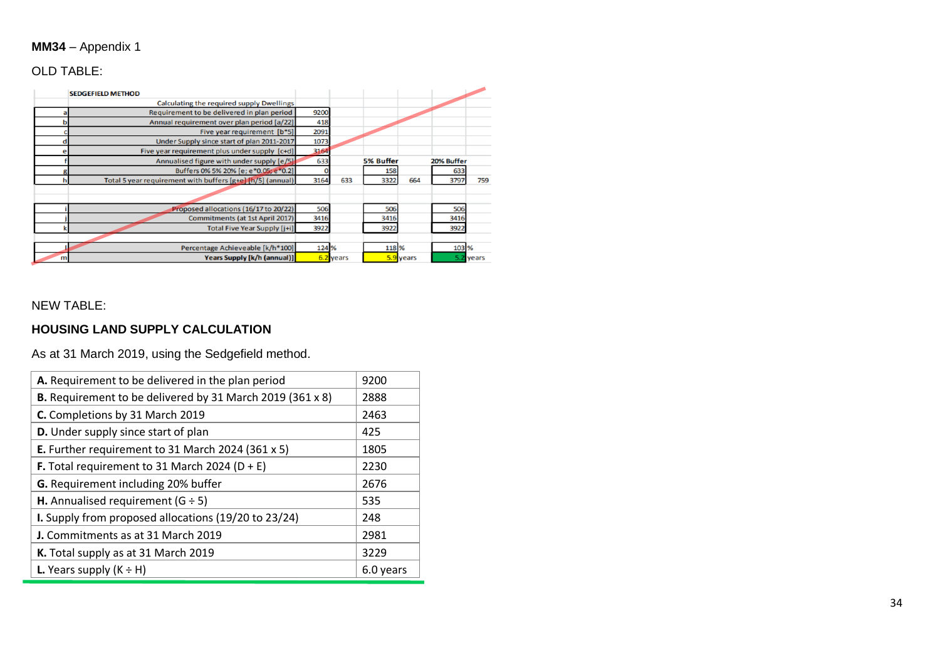## **MM34** – Appendix 1

# OLD TABLE:

|   | <b>SEDGEFIELD METHOD</b>                                   |       |           |                  |           |            |       |
|---|------------------------------------------------------------|-------|-----------|------------------|-----------|------------|-------|
|   | Calculating the required supply Dwellings                  |       |           |                  |           |            |       |
|   | Requirement to be delivered in plan period                 | 9200  |           |                  |           |            |       |
|   | Annual requirement over plan period [a/22]                 | 418   |           |                  |           |            |       |
|   | Five year requirement [b*5]                                | 2091  |           |                  |           |            |       |
|   | Under Supply since start of plan 2011-2017                 | 1073  |           |                  |           |            |       |
|   | Five year requirement plus under supply [c+d]              | 3164  |           |                  |           |            |       |
|   | Annualised figure with under supply [e/5]                  | 633   |           | <b>5% Buffer</b> |           | 20% Buffer |       |
|   | Buffers 0% 5% 20% [e; e*0.05; e*0.2]                       |       |           | 158              |           | 633        |       |
| h | Total 5 year requirement with buffers [g+e] [h/5] (annual) | 3164  | 633       | 3322             | 664       | 3797       | 759   |
|   |                                                            |       |           |                  |           |            |       |
|   |                                                            |       |           |                  |           |            |       |
|   | Proposed allocations (16/17 to 20/22)                      | 506   |           | 506              |           | 506        |       |
|   | Commitments (at 1st April 2017)                            | 3416  |           | 3416             |           | 3416       |       |
|   | Total Five Year Supply [j+i]                               | 3922  |           | 3922             |           | 3922       |       |
|   |                                                            |       |           |                  |           |            |       |
|   | Percentage Achieveable [k/h*100]                           | 124 % |           | 118 %            |           | 103 %      |       |
| m | <b>Years Supply [k/h (annual)]</b>                         |       | 6.2 years |                  | 5.9 years | 5.2        | years |

### NEW TABLE:

### **HOUSING LAND SUPPLY CALCULATION**

As at 31 March 2019, using the Sedgefield method.

| A. Requirement to be delivered in the plan period         | 9200      |
|-----------------------------------------------------------|-----------|
| B. Requirement to be delivered by 31 March 2019 (361 x 8) | 2888      |
| C. Completions by 31 March 2019                           | 2463      |
| D. Under supply since start of plan                       | 425       |
| E. Further requirement to 31 March 2024 (361 x 5)         | 1805      |
| <b>F.</b> Total requirement to 31 March 2024 ( $D + E$ )  | 2230      |
| G. Requirement including 20% buffer                       | 2676      |
| H. Annualised requirement ( $G \div 5$ )                  | 535       |
| I. Supply from proposed allocations (19/20 to 23/24)      | 248       |
| J. Commitments as at 31 March 2019                        | 2981      |
| K. Total supply as at 31 March 2019                       | 3229      |
| <b>L.</b> Years supply $(K \div H)$                       | 6.0 years |